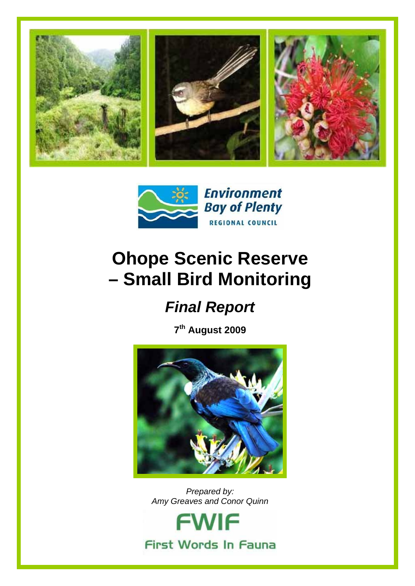



## **Ohope Scenic Reserve – Small Bird Monitoring**

## *Final Report*

**7th August 2009** 



*Prepared by: Amy Greaves and Conor Quinn* 

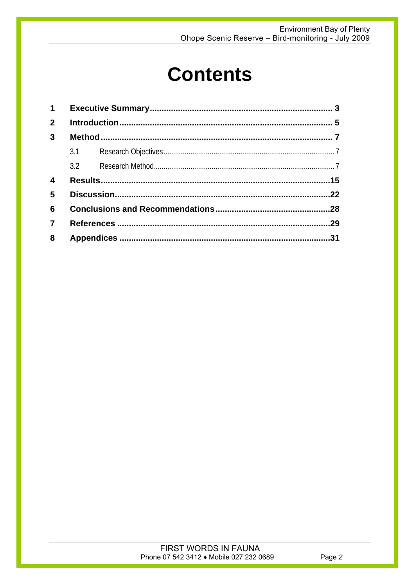# **Contents**

| $2^{\circ}$             |  |  |  |  |  |  |  |  |  |  |  |
|-------------------------|--|--|--|--|--|--|--|--|--|--|--|
| $\mathbf{3}$            |  |  |  |  |  |  |  |  |  |  |  |
|                         |  |  |  |  |  |  |  |  |  |  |  |
|                         |  |  |  |  |  |  |  |  |  |  |  |
| $\overline{\mathbf{4}}$ |  |  |  |  |  |  |  |  |  |  |  |
| 5                       |  |  |  |  |  |  |  |  |  |  |  |
| 6                       |  |  |  |  |  |  |  |  |  |  |  |
| $\overline{7}$          |  |  |  |  |  |  |  |  |  |  |  |
| 8                       |  |  |  |  |  |  |  |  |  |  |  |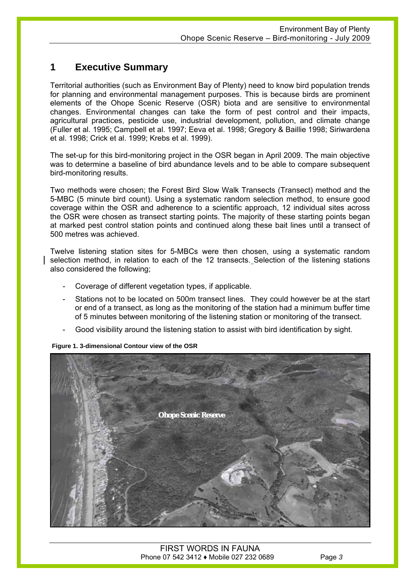### **1 Executive Summary**

Territorial authorities (such as Environment Bay of Plenty) need to know bird population trends for planning and environmental management purposes. This is because birds are prominent elements of the Ohope Scenic Reserve (OSR) biota and are sensitive to environmental changes. Environmental changes can take the form of pest control and their impacts, agricultural practices, pesticide use, industrial development, pollution, and climate change (Fuller et al. 1995; Campbell et al. 1997; Eeva et al. 1998; Gregory & Baillie 1998; Siriwardena et al. 1998; Crick et al. 1999; Krebs et al. 1999).

The set-up for this bird-monitoring project in the OSR began in April 2009. The main objective was to determine a baseline of bird abundance levels and to be able to compare subsequent bird-monitoring results.

Two methods were chosen; the Forest Bird Slow Walk Transects (Transect) method and the 5-MBC (5 minute bird count). Using a systematic random selection method, to ensure good coverage within the OSR and adherence to a scientific approach, 12 individual sites across the OSR were chosen as transect starting points. The majority of these starting points began at marked pest control station points and continued along these bait lines until a transect of 500 metres was achieved.

Twelve listening station sites for 5-MBCs were then chosen, using a systematic random selection method, in relation to each of the 12 transects. Selection of the listening stations also considered the following;

- Coverage of different vegetation types, if applicable.
- Stations not to be located on 500m transect lines. They could however be at the start or end of a transect, as long as the monitoring of the station had a minimum buffer time of 5 minutes between monitoring of the listening station or monitoring of the transect.
- Good visibility around the listening station to assist with bird identification by sight.

#### **Figure 1. 3-dimensional Contour view of the OSR**



FIRST WORDS IN FAUNA Phone 07 542 3412 ♦ Mobile 027 232 0689 Page *3*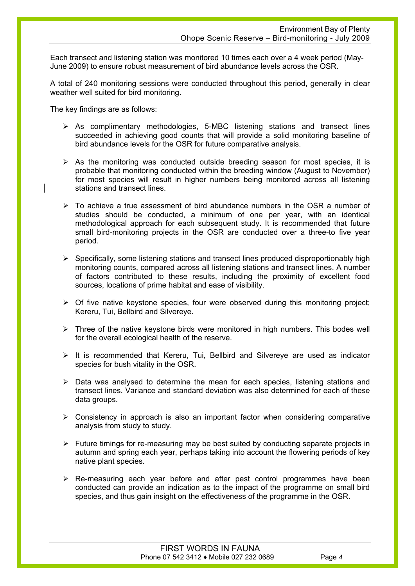Each transect and listening station was monitored 10 times each over a 4 week period (May-June 2009) to ensure robust measurement of bird abundance levels across the OSR.

A total of 240 monitoring sessions were conducted throughout this period, generally in clear weather well suited for bird monitoring.

The key findings are as follows:

- $\triangleright$  As complimentary methodologies, 5-MBC listening stations and transect lines succeeded in achieving good counts that will provide a solid monitoring baseline of bird abundance levels for the OSR for future comparative analysis.
- $\triangleright$  As the monitoring was conducted outside breeding season for most species, it is probable that monitoring conducted within the breeding window (August to November) for most species will result in higher numbers being monitored across all listening stations and transect lines.
- $\triangleright$  To achieve a true assessment of bird abundance numbers in the OSR a number of studies should be conducted, a minimum of one per year, with an identical methodological approach for each subsequent study. It is recommended that future small bird-monitoring projects in the OSR are conducted over a three-to five year period.
- $\triangleright$  Specifically, some listening stations and transect lines produced disproportionably high monitoring counts, compared across all listening stations and transect lines. A number of factors contributed to these results, including the proximity of excellent food sources, locations of prime habitat and ease of visibility.
- $\triangleright$  Of five native keystone species, four were observed during this monitoring project; Kereru, Tui, Bellbird and Silvereye.
- $\triangleright$  Three of the native keystone birds were monitored in high numbers. This bodes well for the overall ecological health of the reserve.
- $\triangleright$  It is recommended that Kereru, Tui, Bellbird and Silvereve are used as indicator species for bush vitality in the OSR.
- $\triangleright$  Data was analysed to determine the mean for each species, listening stations and transect lines. Variance and standard deviation was also determined for each of these data groups.
- $\triangleright$  Consistency in approach is also an important factor when considering comparative analysis from study to study.
- $\triangleright$  Future timings for re-measuring may be best suited by conducting separate projects in autumn and spring each year, perhaps taking into account the flowering periods of key native plant species.
- $\triangleright$  Re-measuring each year before and after pest control programmes have been conducted can provide an indication as to the impact of the programme on small bird species, and thus gain insight on the effectiveness of the programme in the OSR.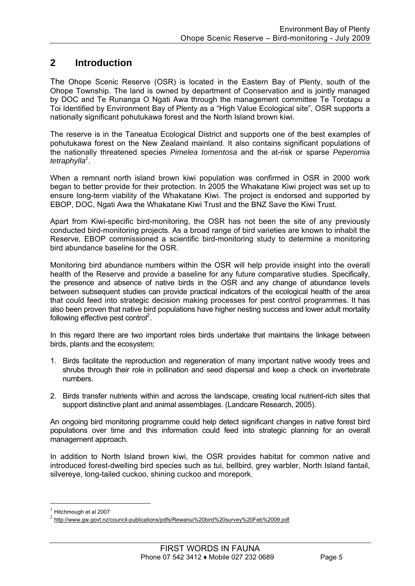### **2 Introduction**

The Ohope Scenic Reserve (OSR) is located in the Eastern Bay of Plenty, south of the Ohope Township. The land is owned by department of Conservation and is jointly managed by DOC and Te Runanga O Ngati Awa through the management committee Te Torotapu a Toi Identified by Environment Bay of Plenty as a "High Value Ecological site", OSR supports a nationally significant pohutukawa forest and the North Island brown kiwi.

The reserve is in the Taneatua Ecological District and supports one of the best examples of pohutukawa forest on the New Zealand mainland. It also contains significant populations of the nationally threatened species *Pimelea tomentosa* and the at-risk or sparse *Peperomia*  tetraphylla<sup>1</sup>.

When a remnant north island brown kiwi population was confirmed in OSR in 2000 work began to better provide for their protection. In 2005 the Whakatane Kiwi project was set up to ensure long-term viability of the Whakatane Kiwi. The project is endorsed and supported by EBOP, DOC, Ngati Awa the Whakatane Kiwi Trust and the BNZ Save the Kiwi Trust.

Apart from Kiwi-specific bird-monitoring, the OSR has not been the site of any previously conducted bird-monitoring projects. As a broad range of bird varieties are known to inhabit the Reserve, EBOP commissioned a scientific bird-monitoring study to determine a monitoring bird abundance baseline for the OSR.

Monitoring bird abundance numbers within the OSR will help provide insight into the overall health of the Reserve and provide a baseline for any future comparative studies. Specifically, the presence and absence of native birds in the OSR and any change of abundance levels between subsequent studies can provide practical indicators of the ecological health of the area that could feed into strategic decision making processes for pest control programmes. It has also been proven that native bird populations have higher nesting success and lower adult mortality following effective pest control<sup>2</sup>.

In this regard there are two important roles birds undertake that maintains the linkage between birds, plants and the ecosystem;

- 1. Birds facilitate the reproduction and regeneration of many important native woody trees and shrubs through their role in pollination and seed dispersal and keep a check on invertebrate numbers.
- 2. Birds transfer nutrients within and across the landscape, creating local nutrient-rich sites that support distinctive plant and animal assemblages. (Landcare Research, 2005).

An ongoing bird monitoring programme could help detect significant changes in native forest bird populations over time and this information could feed into strategic planning for an overall management approach.

In addition to North Island brown kiwi, the OSR provides habitat for common native and introduced forest-dwelling bird species such as tui, bellbird, grey warbler, North Island fantail, silvereye, long-tailed cuckoo, shining cuckoo and morepork.

1

 $<sup>1</sup>$  Hitchmough et al 2007</sup>

<sup>2</sup> http://www.gw.govt.nz/council-publications/pdfs/Rewanui%20bird%20survey%20Feb%2009.pdf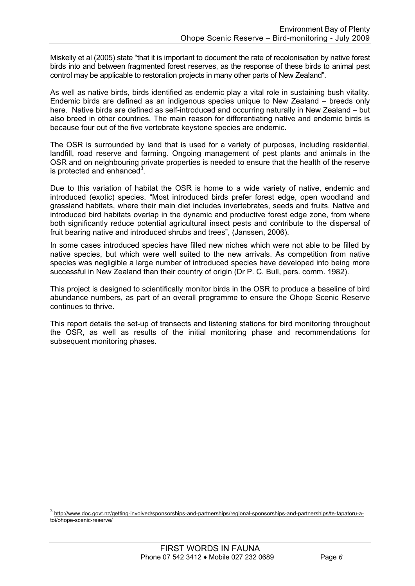Miskelly et al (2005) state "that it is important to document the rate of recolonisation by native forest birds into and between fragmented forest reserves, as the response of these birds to animal pest control may be applicable to restoration projects in many other parts of New Zealand".

As well as native birds, birds identified as endemic play a vital role in sustaining bush vitality. Endemic birds are defined as an indigenous species unique to New Zealand – breeds only here. Native birds are defined as self-introduced and occurring naturally in New Zealand – but also breed in other countries. The main reason for differentiating native and endemic birds is because four out of the five vertebrate keystone species are endemic.

The OSR is surrounded by land that is used for a variety of purposes, including residential, landfill, road reserve and farming. Ongoing management of pest plants and animals in the OSR and on neighbouring private properties is needed to ensure that the health of the reserve is protected and enhanced $3$ .

Due to this variation of habitat the OSR is home to a wide variety of native, endemic and introduced (exotic) species. "Most introduced birds prefer forest edge, open woodland and grassland habitats, where their main diet includes invertebrates, seeds and fruits. Native and introduced bird habitats overlap in the dynamic and productive forest edge zone, from where both significantly reduce potential agricultural insect pests and contribute to the dispersal of fruit bearing native and introduced shrubs and trees", (Janssen, 2006).

In some cases introduced species have filled new niches which were not able to be filled by native species, but which were well suited to the new arrivals. As competition from native species was negligible a large number of introduced species have developed into being more successful in New Zealand than their country of origin (Dr P. C. Bull, pers. comm. 1982).

This project is designed to scientifically monitor birds in the OSR to produce a baseline of bird abundance numbers, as part of an overall programme to ensure the Ohope Scenic Reserve continues to thrive.

This report details the set-up of transects and listening stations for bird monitoring throughout the OSR, as well as results of the initial monitoring phase and recommendations for subsequent monitoring phases.

1

<sup>3</sup> http://www.doc.govt.nz/getting-involved/sponsorships-and-partnerships/regional-sponsorships-and-partnerships/te-tapatoru-atoi/ohope-scenic-reserve/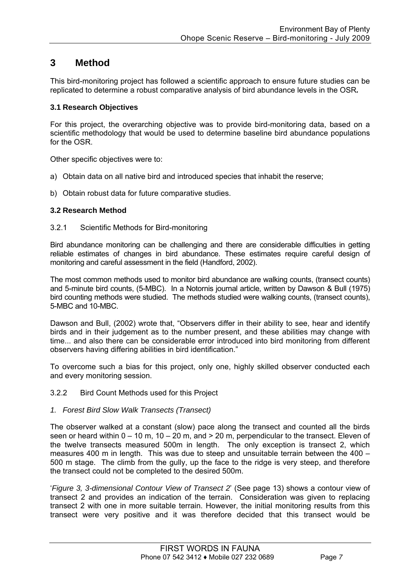### **3 Method**

This bird-monitoring project has followed a scientific approach to ensure future studies can be replicated to determine a robust comparative analysis of bird abundance levels in the OSR*.* 

### **3.1 Research Objectives**

For this project, the overarching objective was to provide bird-monitoring data, based on a scientific methodology that would be used to determine baseline bird abundance populations for the OSR.

Other specific objectives were to:

- a) Obtain data on all native bird and introduced species that inhabit the reserve;
- b) Obtain robust data for future comparative studies.

### **3.2 Research Method**

#### 3.2.1 Scientific Methods for Bird-monitoring

Bird abundance monitoring can be challenging and there are considerable difficulties in getting reliable estimates of changes in bird abundance. These estimates require careful design of monitoring and careful assessment in the field (Handford, 2002).

The most common methods used to monitor bird abundance are walking counts, (transect counts) and 5-minute bird counts, (5-MBC). In a Notornis journal article, written by Dawson & Bull (1975) bird counting methods were studied. The methods studied were walking counts, (transect counts), 5-MBC and 10-MBC.

Dawson and Bull, (2002) wrote that, "Observers differ in their ability to see, hear and identify birds and in their judgement as to the number present, and these abilities may change with time... and also there can be considerable error introduced into bird monitoring from different observers having differing abilities in bird identification."

To overcome such a bias for this project, only one, highly skilled observer conducted each and every monitoring session.

### 3.2.2 Bird Count Methods used for this Project

### *1. Forest Bird Slow Walk Transects (Transect)*

The observer walked at a constant (slow) pace along the transect and counted all the birds seen or heard within  $0 - 10$  m,  $10 - 20$  m, and  $> 20$  m, perpendicular to the transect. Eleven of the twelve transects measured 500m in length. The only exception is transect 2, which measures 400 m in length. This was due to steep and unsuitable terrain between the 400 – 500 m stage. The climb from the gully, up the face to the ridge is very steep, and therefore the transect could not be completed to the desired 500m.

'*Figure 3, 3-dimensional Contour View of Transect 2*' (See page 13) shows a contour view of transect 2 and provides an indication of the terrain. Consideration was given to replacing transect 2 with one in more suitable terrain. However, the initial monitoring results from this transect were very positive and it was therefore decided that this transect would be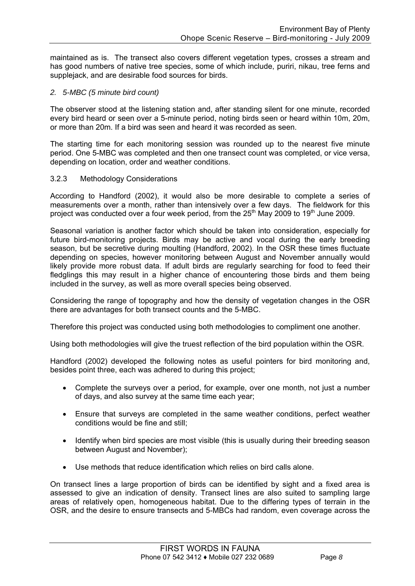maintained as is. The transect also covers different vegetation types, crosses a stream and has good numbers of native tree species, some of which include, puriri, nikau, tree ferns and supplejack, and are desirable food sources for birds.

### *2. 5-MBC (5 minute bird count)*

The observer stood at the listening station and, after standing silent for one minute, recorded every bird heard or seen over a 5-minute period, noting birds seen or heard within 10m, 20m, or more than 20m. If a bird was seen and heard it was recorded as seen.

The starting time for each monitoring session was rounded up to the nearest five minute period. One 5-MBC was completed and then one transect count was completed, or vice versa, depending on location, order and weather conditions.

#### 3.2.3 Methodology Considerations

According to Handford (2002), it would also be more desirable to complete a series of measurements over a month, rather than intensively over a few days. The fieldwork for this project was conducted over a four week period, from the  $25<sup>th</sup>$  May 2009 to 19<sup>th</sup> June 2009.

Seasonal variation is another factor which should be taken into consideration, especially for future bird-monitoring projects. Birds may be active and vocal during the early breeding season, but be secretive during moulting (Handford, 2002). In the OSR these times fluctuate depending on species, however monitoring between August and November annually would likely provide more robust data. If adult birds are regularly searching for food to feed their fledglings this may result in a higher chance of encountering those birds and them being included in the survey, as well as more overall species being observed.

Considering the range of topography and how the density of vegetation changes in the OSR there are advantages for both transect counts and the 5-MBC.

Therefore this project was conducted using both methodologies to compliment one another.

Using both methodologies will give the truest reflection of the bird population within the OSR.

Handford (2002) developed the following notes as useful pointers for bird monitoring and, besides point three, each was adhered to during this project;

- Complete the surveys over a period, for example, over one month, not just a number of days, and also survey at the same time each year;
- Ensure that surveys are completed in the same weather conditions, perfect weather conditions would be fine and still;
- Identify when bird species are most visible (this is usually during their breeding season between August and November):
- Use methods that reduce identification which relies on bird calls alone.

On transect lines a large proportion of birds can be identified by sight and a fixed area is assessed to give an indication of density. Transect lines are also suited to sampling large areas of relatively open, homogeneous habitat. Due to the differing types of terrain in the OSR, and the desire to ensure transects and 5-MBCs had random, even coverage across the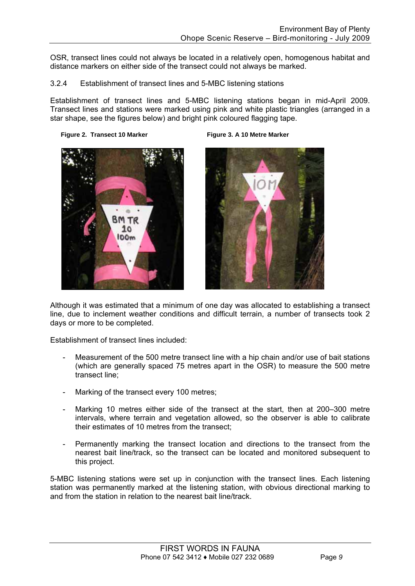OSR, transect lines could not always be located in a relatively open, homogenous habitat and distance markers on either side of the transect could not always be marked.

### 3.2.4 Establishment of transect lines and 5-MBC listening stations

Establishment of transect lines and 5-MBC listening stations began in mid-April 2009. Transect lines and stations were marked using pink and white plastic triangles (arranged in a star shape, see the figures below) and bright pink coloured flagging tape.







Although it was estimated that a minimum of one day was allocated to establishing a transect line, due to inclement weather conditions and difficult terrain, a number of transects took 2 days or more to be completed.

Establishment of transect lines included:

- Measurement of the 500 metre transect line with a hip chain and/or use of bait stations (which are generally spaced 75 metres apart in the OSR) to measure the 500 metre transect line;
- Marking of the transect every 100 metres;
- Marking 10 metres either side of the transect at the start, then at 200–300 metre intervals, where terrain and vegetation allowed, so the observer is able to calibrate their estimates of 10 metres from the transect;
- Permanently marking the transect location and directions to the transect from the nearest bait line/track, so the transect can be located and monitored subsequent to this project.

5-MBC listening stations were set up in conjunction with the transect lines. Each listening station was permanently marked at the listening station, with obvious directional marking to and from the station in relation to the nearest bait line/track.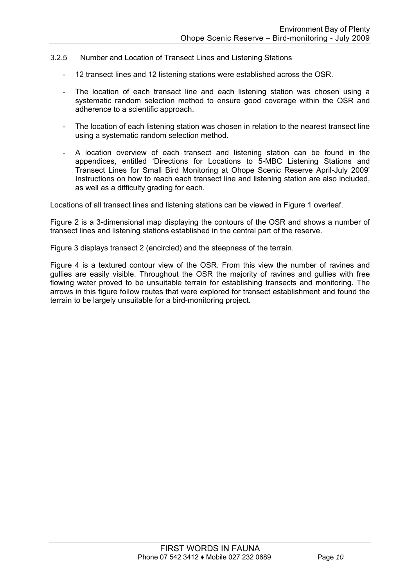#### 3.2.5 Number and Location of Transect Lines and Listening Stations

- 12 transect lines and 12 listening stations were established across the OSR.
- The location of each transact line and each listening station was chosen using a systematic random selection method to ensure good coverage within the OSR and adherence to a scientific approach.
- The location of each listening station was chosen in relation to the nearest transect line using a systematic random selection method.
- A location overview of each transect and listening station can be found in the appendices, entitled 'Directions for Locations to 5-MBC Listening Stations and Transect Lines for Small Bird Monitoring at Ohope Scenic Reserve April-July 2009' Instructions on how to reach each transect line and listening station are also included, as well as a difficulty grading for each.

Locations of all transect lines and listening stations can be viewed in Figure 1 overleaf.

Figure 2 is a 3-dimensional map displaying the contours of the OSR and shows a number of transect lines and listening stations established in the central part of the reserve.

Figure 3 displays transect 2 (encircled) and the steepness of the terrain.

Figure 4 is a textured contour view of the OSR. From this view the number of ravines and gullies are easily visible. Throughout the OSR the majority of ravines and gullies with free flowing water proved to be unsuitable terrain for establishing transects and monitoring. The arrows in this figure follow routes that were explored for transect establishment and found the terrain to be largely unsuitable for a bird-monitoring project.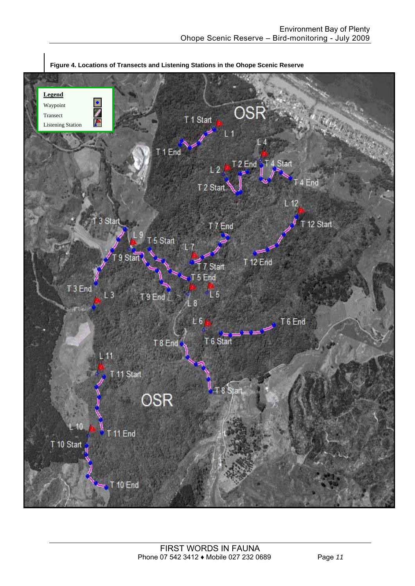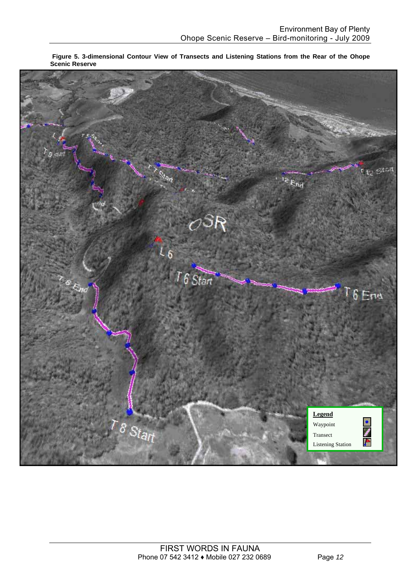

**Figure 5. 3-dimensional Contour View of Transects and Listening Stations from the Rear of the Ohope Scenic Reserve**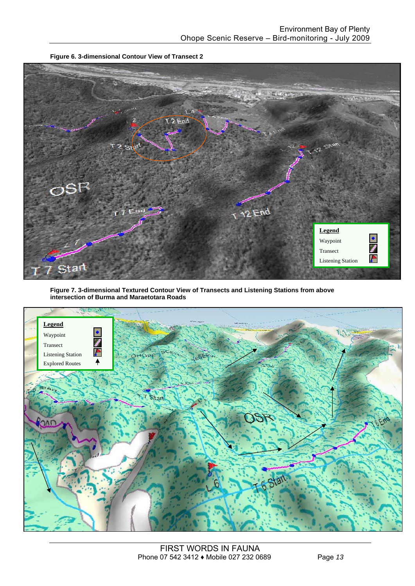

**Figure 6. 3-dimensional Contour View of Transect 2** 

**Figure 7. 3-dimensional Textured Contour View of Transects and Listening Stations from above intersection of Burma and Maraetotara Roads**

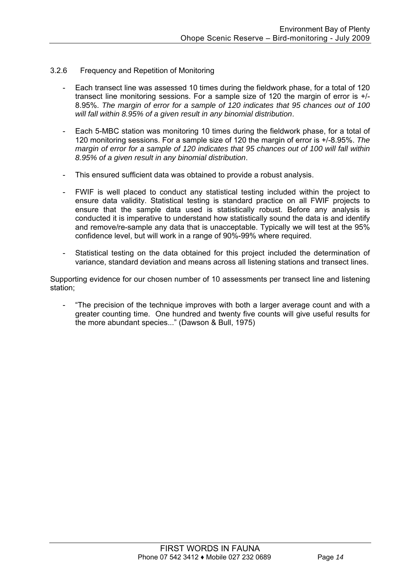### 3.2.6 Frequency and Repetition of Monitoring

- Each transect line was assessed 10 times during the fieldwork phase, for a total of 120 transect line monitoring sessions. For a sample size of 120 the margin of error is +/- 8.95%. *The margin of error for a sample of 120 indicates that 95 chances out of 100 will fall within 8.95% of a given result in any binomial distribution*.
- Each 5-MBC station was monitoring 10 times during the fieldwork phase, for a total of 120 monitoring sessions. For a sample size of 120 the margin of error is +/-8.95%. *The margin of error for a sample of 120 indicates that 95 chances out of 100 will fall within 8.95% of a given result in any binomial distribution*.
- This ensured sufficient data was obtained to provide a robust analysis.
- FWIF is well placed to conduct any statistical testing included within the project to ensure data validity. Statistical testing is standard practice on all FWIF projects to ensure that the sample data used is statistically robust. Before any analysis is conducted it is imperative to understand how statistically sound the data is and identify and remove/re-sample any data that is unacceptable. Typically we will test at the 95% confidence level, but will work in a range of 90%-99% where required.
- Statistical testing on the data obtained for this project included the determination of variance, standard deviation and means across all listening stations and transect lines.

Supporting evidence for our chosen number of 10 assessments per transect line and listening station;

"The precision of the technique improves with both a larger average count and with a greater counting time. One hundred and twenty five counts will give useful results for the more abundant species..." (Dawson & Bull, 1975)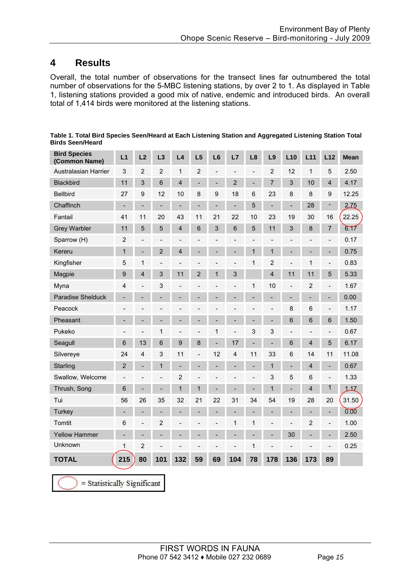### **4 Results**

Overall, the total number of observations for the transect lines far outnumbered the total number of observations for the 5-MBC listening stations, by over 2 to 1. As displayed in Table 1, listening stations provided a good mix of native, endemic and introduced birds. An overall total of 1,414 birds were monitored at the listening stations.

| <b>Bird Species</b><br>(Common Name) | L1                       | L2                           | L3                       | L4                       | L5                       | L <sub>6</sub>           | L7                       | L8                           | L9                           | L10                          | L11                          | L12                      | <b>Mean</b> |
|--------------------------------------|--------------------------|------------------------------|--------------------------|--------------------------|--------------------------|--------------------------|--------------------------|------------------------------|------------------------------|------------------------------|------------------------------|--------------------------|-------------|
| Australasian Harrier                 | 3                        | $\overline{2}$               | $\overline{2}$           | $\mathbf{1}$             | $\overline{2}$           | $\overline{\phantom{0}}$ | $\overline{a}$           | $\overline{\phantom{a}}$     | $\overline{2}$               | 12                           | 1                            | 5                        | 2.50        |
| Blackbird                            | 11                       | 3                            | 6                        | $\overline{\mathbf{4}}$  |                          | ÷,                       | $\overline{2}$           | $\qquad \qquad \blacksquare$ | 7                            | 3                            | 10                           | $\overline{4}$           | 4.17        |
| <b>Bellbird</b>                      | 27                       | 9                            | 12                       | 10                       | 8                        | 9                        | 18                       | 6                            | 23                           | 8                            | 8                            | 9                        | 12.25       |
| Chaffinch                            | $\overline{\phantom{0}}$ | $\qquad \qquad -$            | $\overline{\phantom{m}}$ | $\overline{\phantom{0}}$ | $\overline{\phantom{a}}$ | ÷,                       | $\blacksquare$           | 5                            | $\overline{\phantom{0}}$     | $\overline{\phantom{a}}$     | 28                           | -                        | 2.75        |
| Fantail                              | 41                       | 11                           | 20                       | 43                       | 11                       | 21                       | 22                       | 10                           | 23                           | 19                           | 30                           | 16                       | 22.25       |
| <b>Grey Warbler</b>                  | 11                       | 5                            | 5                        | $\overline{\mathbf{4}}$  | 6                        | 3                        | $6\phantom{a}$           | 5                            | 11                           | 3                            | 8                            | $\overline{7}$           | 6.17        |
| Sparrow (H)                          | $\overline{2}$           | $\overline{a}$               | $\overline{\phantom{a}}$ | $\overline{a}$           |                          |                          | $\overline{a}$           |                              | L,                           |                              | $\overline{a}$               | $\overline{\phantom{0}}$ | 0.17        |
| Kereru                               | 1                        | $\overline{a}$               | $\overline{2}$           | $\overline{\mathbf{4}}$  |                          |                          | L,                       | $\mathbf{1}$                 | $\mathbf{1}$                 |                              |                              | ÷,                       | 0.75        |
| Kingfisher                           | 5                        | 1                            |                          | $\overline{a}$           |                          |                          |                          | 1                            | 2                            |                              | 1                            |                          | 0.83        |
| Magpie                               | 9                        | $\overline{\mathbf{4}}$      | 3                        | 11                       | $\overline{2}$           | 1                        | 3                        |                              | $\overline{\mathbf{4}}$      | 11                           | 11                           | 5                        | 5.33        |
| Myna                                 | 4                        | $\qquad \qquad \blacksquare$ | 3                        | $\overline{\phantom{0}}$ | L,                       | $\overline{a}$           | $\overline{\phantom{0}}$ | 1                            | 10                           | $\overline{\phantom{a}}$     | $\overline{2}$               | $\overline{\phantom{0}}$ | 1.67        |
| Paradise Shelduck                    | $\overline{\phantom{0}}$ | $\overline{\phantom{0}}$     |                          |                          | $\overline{\phantom{a}}$ |                          | $\overline{\phantom{0}}$ |                              |                              | $\overline{\phantom{a}}$     | $\qquad \qquad \blacksquare$ | -                        | 0.00        |
| Peacock                              |                          |                              |                          |                          |                          |                          |                          |                              | $\qquad \qquad \blacksquare$ | 8                            | $\,6$                        | $\overline{a}$           | 1.17        |
| Pheasant                             |                          | -                            |                          |                          |                          |                          | $\overline{a}$           |                              | ÷                            | 6                            | 6                            | 6                        | 1.50        |
| Pukeko                               |                          | $\overline{a}$               | $\mathbf{1}$             |                          |                          | 1                        | $\overline{\phantom{0}}$ | 3                            | 3                            |                              | $\overline{\phantom{0}}$     | $\overline{a}$           | 0.67        |
| Seagull                              | $6\phantom{1}$           | 13                           | 6                        | 9                        | 8                        | ÷,                       | 17                       |                              | $\overline{a}$               | 6                            | $\overline{\mathbf{4}}$      | $\overline{5}$           | 6.17        |
| Silvereye                            | 24                       | $\overline{\mathbf{4}}$      | 3                        | 11                       | $\overline{a}$           | 12                       | $\overline{\mathbf{4}}$  | 11                           | 33                           | 6                            | 14                           | 11                       | 11.08       |
| Starling                             | $\overline{2}$           | $\qquad \qquad \blacksquare$ | $\mathbf{1}$             | $\overline{\phantom{0}}$ |                          |                          | $\overline{\phantom{0}}$ |                              | 1                            | $\overline{\phantom{0}}$     | $\overline{\mathbf{4}}$      |                          | 0.67        |
| Swallow, Welcome                     |                          | $\overline{a}$               | $\overline{a}$           | $\overline{2}$           |                          |                          |                          | $\overline{a}$               | 3                            | 5                            | $6\phantom{1}6$              | $\overline{a}$           | 1.33        |
| Thrush, Song                         | 6                        | $\overline{a}$               |                          | 1                        | $\mathbf{1}$             | -                        | $\overline{a}$           |                              | $\overline{1}$               | ٠                            | $\overline{\mathbf{4}}$      | 1                        | 117         |
| Tui                                  | 56                       | 26                           | 35                       | 32                       | 21                       | 22                       | 31                       | 34                           | 54                           | 19                           | 28                           | 20                       | 31.50       |
| Turkey                               | $\overline{\phantom{a}}$ | ÷,                           |                          |                          |                          | L.                       | ÷,                       |                              |                              | $\overline{a}$               | $\overline{a}$               | $\overline{\phantom{0}}$ | 0.00        |
| Tomtit                               | 6                        | $\qquad \qquad \blacksquare$ | $\overline{2}$           | $\overline{a}$           |                          | $\overline{\phantom{0}}$ | 1                        | 1                            | $\overline{a}$               | $\qquad \qquad \blacksquare$ | $\overline{2}$               | $\overline{\phantom{0}}$ | 1.00        |
| <b>Yellow Hammer</b>                 | $\overline{\phantom{0}}$ | $\overline{\phantom{0}}$     |                          |                          |                          |                          |                          |                              |                              | 30                           |                              |                          | 2.50        |
| Unknown                              | 1                        | $\overline{2}$               |                          |                          |                          |                          |                          | 1                            |                              |                              |                              |                          | 0.25        |
| <b>TOTAL</b>                         | 215                      | 80                           | 101                      | 132                      | 59                       | 69                       | 104                      | 78                           | 178                          | 136                          | 173                          | 89                       |             |

**Table 1. Total Bird Species Seen/Heard at Each Listening Station and Aggregated Listening Station Total Birds Seen/Heard** 

= Statistically Significant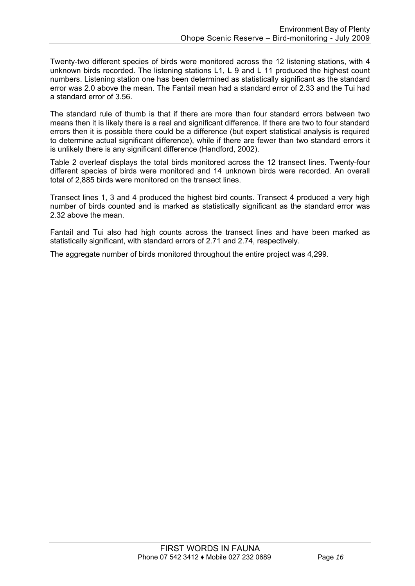Twenty-two different species of birds were monitored across the 12 listening stations, with 4 unknown birds recorded. The listening stations L1, L 9 and L 11 produced the highest count numbers. Listening station one has been determined as statistically significant as the standard error was 2.0 above the mean. The Fantail mean had a standard error of 2.33 and the Tui had a standard error of 3.56.

The standard rule of thumb is that if there are more than four standard errors between two means then it is likely there is a real and significant difference. If there are two to four standard errors then it is possible there could be a difference (but expert statistical analysis is required to determine actual significant difference), while if there are fewer than two standard errors it is unlikely there is any significant difference (Handford, 2002).

Table 2 overleaf displays the total birds monitored across the 12 transect lines. Twenty-four different species of birds were monitored and 14 unknown birds were recorded. An overall total of 2,885 birds were monitored on the transect lines.

Transect lines 1, 3 and 4 produced the highest bird counts. Transect 4 produced a very high number of birds counted and is marked as statistically significant as the standard error was 2.32 above the mean.

Fantail and Tui also had high counts across the transect lines and have been marked as statistically significant, with standard errors of 2.71 and 2.74, respectively.

The aggregate number of birds monitored throughout the entire project was 4,299.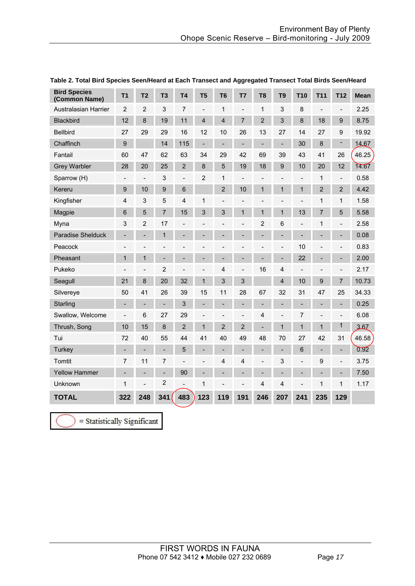| <b>Bird Species</b><br>(Common Name) | T <sub>1</sub>               | T <sub>2</sub>           | T <sub>3</sub>               | T <sub>4</sub> | T <sub>5</sub>               | T <sub>6</sub>           | T7             | T <sub>8</sub>           | T <sub>9</sub>           | <b>T10</b>                   | T <sub>11</sub>              | <b>T12</b>                   | <b>Mean</b> |
|--------------------------------------|------------------------------|--------------------------|------------------------------|----------------|------------------------------|--------------------------|----------------|--------------------------|--------------------------|------------------------------|------------------------------|------------------------------|-------------|
| Australasian Harrier                 | $\overline{2}$               | $\overline{2}$           | 3                            | 7              | $\qquad \qquad \blacksquare$ | 1                        | $\overline{a}$ | 1                        | 3                        | 8                            | L,                           | $\blacksquare$               | 2.25        |
| Blackbird                            | 12                           | 8                        | 19                           | 11             | $\overline{4}$               | $\overline{\mathbf{4}}$  | $\overline{7}$ | $\overline{2}$           | 3                        | $\boldsymbol{8}$             | 18                           | 9                            | 8.75        |
| <b>Bellbird</b>                      | 27                           | 29                       | 29                           | 16             | 12                           | 10                       | 26             | 13                       | 27                       | 14                           | 27                           | 9                            | 19.92       |
| Chaffinch                            | $\overline{9}$               |                          | 14                           | 115            | $\overline{\phantom{a}}$     | $\blacksquare$           | $\overline{a}$ | $\overline{\phantom{0}}$ | ÷                        | 30                           | 8                            | $\overline{\phantom{a}}$     | 14.67       |
| Fantail                              | 60                           | 47                       | 62                           | 63             | 34                           | 29                       | 42             | 69                       | 39                       | 43                           | 41                           | 26                           | 46.25       |
| <b>Grey Warbler</b>                  | 28                           | 20                       | 25                           | $\overline{2}$ | 8                            | 5                        | 19             | 18                       | $\boldsymbol{9}$         | 10                           | 20                           | 12                           | 14.67       |
| Sparrow (H)                          | $\qquad \qquad \blacksquare$ | $\blacksquare$           | 3                            | $\overline{a}$ | $\overline{2}$               | 1                        | $\overline{a}$ |                          |                          | $\overline{a}$               | 1                            | $\blacksquare$               | 0.58        |
| Kereru                               | 9                            | 10                       | 9                            | 6              |                              | 2                        | 10             | 1                        | 1                        | 1                            | $\overline{2}$               | $\overline{2}$               | 4.42        |
| Kingfisher                           | 4                            | 3                        | 5                            | 4              | 1                            |                          |                |                          |                          | $\qquad \qquad -$            | 1                            | 1                            | 1.58        |
| Magpie                               | 6                            | 5                        | $\overline{7}$               | 15             | 3                            | 3                        | $\mathbf{1}$   | $\mathbf{1}$             | 1                        | 13                           | $\overline{7}$               | 5                            | 5.58        |
| Myna                                 | 3                            | $\overline{2}$           | 17                           | $\overline{a}$ | $\overline{a}$               | $\overline{a}$           | $\overline{a}$ | $\overline{2}$           | 6                        | $\qquad \qquad -$            | 1                            | $\blacksquare$               | 2.58        |
| Paradise Shelduck                    |                              |                          | $\mathbf{1}$                 |                |                              |                          |                |                          |                          | $\qquad \qquad \blacksquare$ |                              | $\qquad \qquad \blacksquare$ | 0.08        |
| Peacock                              |                              |                          |                              |                |                              |                          |                |                          | $\overline{a}$           | 10                           |                              |                              | 0.83        |
| Pheasant                             | 1                            | 1                        |                              |                |                              |                          |                |                          | ÷                        | 22                           |                              |                              | 2.00        |
| Pukeko                               | $\qquad \qquad \blacksquare$ | $\overline{a}$           | $\overline{2}$               |                | $\overline{\phantom{0}}$     | 4                        | $\overline{a}$ | 16                       | 4                        | $\qquad \qquad \blacksquare$ |                              | $\overline{\phantom{a}}$     | 2.17        |
| Seagull                              | 21                           | 8                        | 20                           | 32             | $\mathbf{1}$                 | 3                        | 3              |                          | $\overline{\mathbf{4}}$  | 10                           | 9                            | $\overline{7}$               | 10.73       |
| Silvereye                            | 50                           | 41                       | 26                           | 39             | 15                           | 11                       | 28             | 67                       | 32                       | 31                           | 47                           | 25                           | 34.33       |
| Starling                             | $\qquad \qquad \blacksquare$ | $\overline{\phantom{0}}$ | $\qquad \qquad \blacksquare$ | 3              | -                            | $\overline{\phantom{0}}$ | $\overline{a}$ |                          | -                        | $\qquad \qquad -$            |                              | $\overline{\phantom{a}}$     | 0.25        |
| Swallow, Welcome                     | $\overline{\phantom{0}}$     | 6                        | 27                           | 29             | $\overline{\phantom{0}}$     | $\overline{a}$           | $\overline{a}$ | 4                        | $\overline{\phantom{0}}$ | 7                            | $\qquad \qquad \blacksquare$ | $\overline{\phantom{a}}$     | 6.08        |
| Thrush, Song                         | 10                           | 15                       | 8                            | $\overline{2}$ | $\mathbf{1}$                 | $\overline{2}$           | $\overline{2}$ | ÷,                       | 1                        | 1                            | 1                            | 1                            | 367         |
| Tui                                  | 72                           | 40                       | 55                           | 44             | 41                           | 40                       | 49             | 48                       | 70                       | 27                           | 42                           | 31                           | 46.58       |
| Turkey                               |                              |                          | $\blacksquare$               | 5              |                              | $\overline{a}$           |                |                          | L,                       | 6                            |                              | $\overline{\phantom{a}}$     | 0.92        |
| Tomtit                               | $\overline{7}$               | 11                       | 7                            |                | $\overline{a}$               | 4                        | 4              |                          | 3                        | $\overline{a}$               | 9                            | $\overline{a}$               | 3.75        |
| <b>Yellow Hammer</b>                 |                              |                          | $\frac{1}{2}$                | 90             |                              |                          | $\overline{a}$ |                          | ÷                        | $\overline{a}$               |                              | $\overline{\phantom{a}}$     | 7.50        |
| Unknown                              | $\mathbf{1}$                 | $\blacksquare$           | $\overline{\mathbf{c}}$      |                | $\mathbf 1$                  | $\overline{a}$           | $\overline{a}$ | 4                        | 4                        | $\overline{a}$               | 1                            | 1                            | 1.17        |
| <b>TOTAL</b>                         | 322                          | 248                      | 341                          | 483            | 123                          | 119                      | 191            | 246                      | 207                      | 241                          | 235                          | 129                          |             |

#### **Table 2. Total Bird Species Seen/Heard at Each Transect and Aggregated Transect Total Birds Seen/Heard**

 $=$  Statistically Significant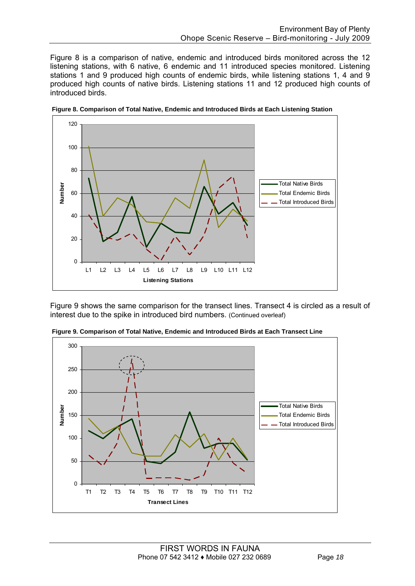Figure 8 is a comparison of native, endemic and introduced birds monitored across the 12 listening stations, with 6 native, 6 endemic and 11 introduced species monitored. Listening stations 1 and 9 produced high counts of endemic birds, while listening stations 1, 4 and 9 produced high counts of native birds. Listening stations 11 and 12 produced high counts of introduced birds.



**Figure 8. Comparison of Total Native, Endemic and Introduced Birds at Each Listening Station** 

Figure 9 shows the same comparison for the transect lines. Transect 4 is circled as a result of interest due to the spike in introduced bird numbers. (Continued overleaf)



 **Figure 9. Comparison of Total Native, Endemic and Introduced Birds at Each Transect Line**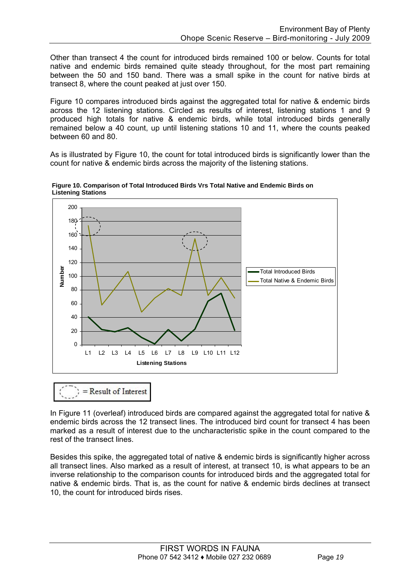Other than transect 4 the count for introduced birds remained 100 or below. Counts for total native and endemic birds remained quite steady throughout, for the most part remaining between the 50 and 150 band. There was a small spike in the count for native birds at transect 8, where the count peaked at just over 150.

Figure 10 compares introduced birds against the aggregated total for native & endemic birds across the 12 listening stations. Circled as results of interest, listening stations 1 and 9 produced high totals for native & endemic birds, while total introduced birds generally remained below a 40 count, up until listening stations 10 and 11, where the counts peaked between 60 and 80.

As is illustrated by Figure 10, the count for total introduced birds is significantly lower than the count for native & endemic birds across the majority of the listening stations.



 **Figure 10. Comparison of Total Introduced Birds Vrs Total Native and Endemic Birds on Listening Stations**

 $=$  Result of Interest

In Figure 11 (overleaf) introduced birds are compared against the aggregated total for native & endemic birds across the 12 transect lines. The introduced bird count for transect 4 has been marked as a result of interest due to the uncharacteristic spike in the count compared to the rest of the transect lines.

Besides this spike, the aggregated total of native & endemic birds is significantly higher across all transect lines. Also marked as a result of interest, at transect 10, is what appears to be an inverse relationship to the comparison counts for introduced birds and the aggregated total for native & endemic birds. That is, as the count for native & endemic birds declines at transect 10, the count for introduced birds rises.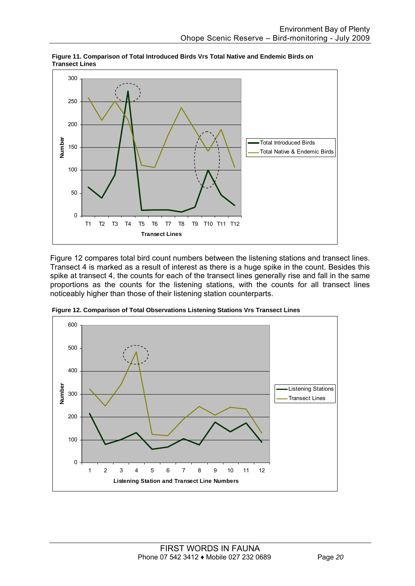

 **Figure 11. Comparison of Total Introduced Birds Vrs Total Native and Endemic Birds on Transect Lines**

Figure 12 compares total bird count numbers between the listening stations and transect lines. Transect 4 is marked as a result of interest as there is a huge spike in the count. Besides this spike at transect 4, the counts for each of the transect lines generally rise and fall in the same proportions as the counts for the listening stations, with the counts for all transect lines noticeably higher than those of their listening station counterparts.



 **Figure 12. Comparison of Total Observations Listening Stations Vrs Transect Lines**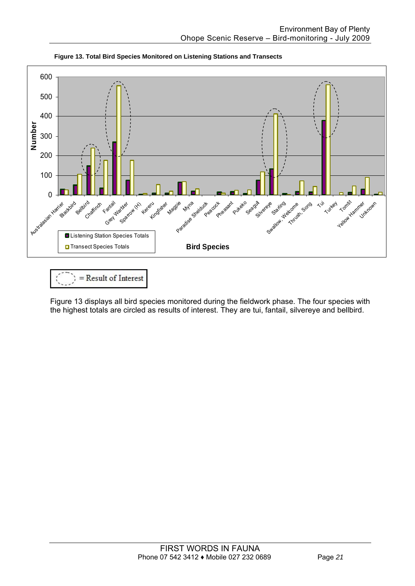

**Figure 13. Total Bird Species Monitored on Listening Stations and Transects** 

 $=$  Result of Interest

Figure 13 displays all bird species monitored during the fieldwork phase. The four species with the highest totals are circled as results of interest. They are tui, fantail, silvereye and bellbird.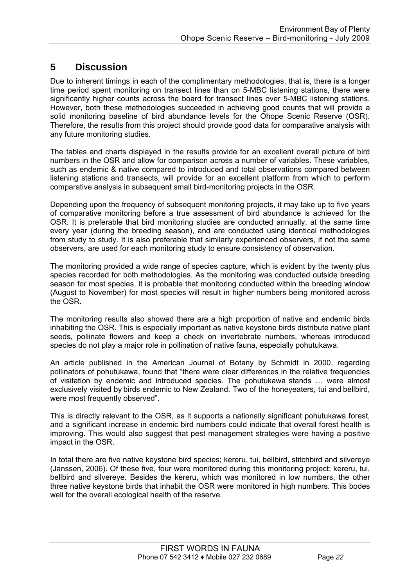### **5 Discussion**

Due to inherent timings in each of the complimentary methodologies, that is, there is a longer time period spent monitoring on transect lines than on 5-MBC listening stations, there were significantly higher counts across the board for transect lines over 5-MBC listening stations. However, both these methodologies succeeded in achieving good counts that will provide a solid monitoring baseline of bird abundance levels for the Ohope Scenic Reserve (OSR). Therefore, the results from this project should provide good data for comparative analysis with any future monitoring studies.

The tables and charts displayed in the results provide for an excellent overall picture of bird numbers in the OSR and allow for comparison across a number of variables. These variables, such as endemic & native compared to introduced and total observations compared between listening stations and transects, will provide for an excellent platform from which to perform comparative analysis in subsequent small bird-monitoring projects in the OSR.

Depending upon the frequency of subsequent monitoring projects, it may take up to five years of comparative monitoring before a true assessment of bird abundance is achieved for the OSR. It is preferable that bird monitoring studies are conducted annually, at the same time every year (during the breeding season), and are conducted using identical methodologies from study to study. It is also preferable that similarly experienced observers, if not the same observers, are used for each monitoring study to ensure consistency of observation.

The monitoring provided a wide range of species capture, which is evident by the twenty plus species recorded for both methodologies. As the monitoring was conducted outside breeding season for most species, it is probable that monitoring conducted within the breeding window (August to November) for most species will result in higher numbers being monitored across the OSR.

The monitoring results also showed there are a high proportion of native and endemic birds inhabiting the OSR. This is especially important as native keystone birds distribute native plant seeds, pollinate flowers and keep a check on invertebrate numbers, whereas introduced species do not play a major role in pollination of native fauna, especially pohutukawa.

An article published in the American Journal of Botany by Schmidt in 2000, regarding pollinators of pohutukawa, found that "there were clear differences in the relative frequencies of visitation by endemic and introduced species. The pohutukawa stands … were almost exclusively visited by birds endemic to New Zealand. Two of the honeyeaters, tui and bellbird, were most frequently observed".

This is directly relevant to the OSR, as it supports a nationally significant pohutukawa forest, and a significant increase in endemic bird numbers could indicate that overall forest health is improving. This would also suggest that pest management strategies were having a positive impact in the OSR.

In total there are five native keystone bird species; kereru, tui, bellbird, stitchbird and silvereye (Janssen, 2006). Of these five, four were monitored during this monitoring project; kereru, tui, bellbird and silvereye. Besides the kereru, which was monitored in low numbers, the other three native keystone birds that inhabit the OSR were monitored in high numbers. This bodes well for the overall ecological health of the reserve.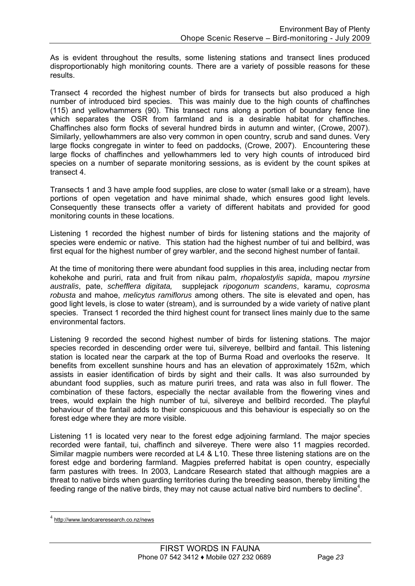As is evident throughout the results, some listening stations and transect lines produced disproportionably high monitoring counts. There are a variety of possible reasons for these results.

Transect 4 recorded the highest number of birds for transects but also produced a high number of introduced bird species. This was mainly due to the high counts of chaffinches (115) and yellowhammers (90). This transect runs along a portion of boundary fence line which separates the OSR from farmland and is a desirable habitat for chaffinches. Chaffinches also form flocks of several hundred birds in autumn and winter, (Crowe, 2007). Similarly, yellowhammers are also very common in open country, scrub and sand dunes. Very large flocks congregate in winter to feed on paddocks, (Crowe, 2007). Encountering these large flocks of chaffinches and yellowhammers led to very high counts of introduced bird species on a number of separate monitoring sessions, as is evident by the count spikes at transect 4.

Transects 1 and 3 have ample food supplies, are close to water (small lake or a stream), have portions of open vegetation and have minimal shade, which ensures good light levels. Consequently these transects offer a variety of different habitats and provided for good monitoring counts in these locations.

Listening 1 recorded the highest number of birds for listening stations and the majority of species were endemic or native. This station had the highest number of tui and bellbird, was first equal for the highest number of grey warbler, and the second highest number of fantail.

At the time of monitoring there were abundant food supplies in this area, including nectar from kohekohe and puriri, rata and fruit from nikau palm, *rhopalostylis sapida*, mapou *myrsine australis*, pate, *schefflera digitata,* supplejack *ripogonum scandens*, karamu, *coprosma robusta* and mahoe, *melicytus ramiflorus* among others. The site is elevated and open, has good light levels, is close to water (stream), and is surrounded by a wide variety of native plant species. Transect 1 recorded the third highest count for transect lines mainly due to the same environmental factors.

Listening 9 recorded the second highest number of birds for listening stations. The major species recorded in descending order were tui, silvereye, bellbird and fantail. This listening station is located near the carpark at the top of Burma Road and overlooks the reserve. It benefits from excellent sunshine hours and has an elevation of approximately 152m, which assists in easier identification of birds by sight and their calls. It was also surrounded by abundant food supplies, such as mature puriri trees, and rata was also in full flower. The combination of these factors, especially the nectar available from the flowering vines and trees, would explain the high number of tui, silvereye and bellbird recorded. The playful behaviour of the fantail adds to their conspicuous and this behaviour is especially so on the forest edge where they are more visible.

Listening 11 is located very near to the forest edge adjoining farmland. The major species recorded were fantail, tui, chaffinch and silvereye. There were also 11 magpies recorded. Similar magpie numbers were recorded at L4 & L10. These three listening stations are on the forest edge and bordering farmland. Magpies preferred habitat is open country, especially farm pastures with trees. In 2003, Landcare Research stated that although magpies are a threat to native birds when guarding territories during the breeding season, thereby limiting the feeding range of the native birds, they may not cause actual native bird numbers to decline<sup>4</sup>.

1

<sup>4</sup> http://www.landcareresearch.co.nz/news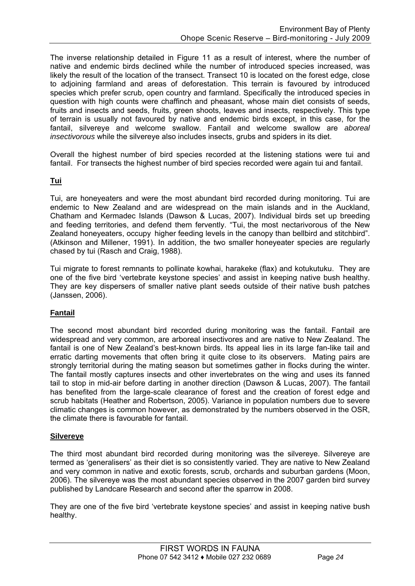The inverse relationship detailed in Figure 11 as a result of interest, where the number of native and endemic birds declined while the number of introduced species increased, was likely the result of the location of the transect. Transect 10 is located on the forest edge, close to adjoining farmland and areas of deforestation. This terrain is favoured by introduced species which prefer scrub, open country and farmland. Specifically the introduced species in question with high counts were chaffinch and pheasant, whose main diet consists of seeds, fruits and insects and seeds, fruits, green shoots, leaves and insects, respectively. This type of terrain is usually not favoured by native and endemic birds except, in this case, for the fantail, silvereye and welcome swallow. Fantail and welcome swallow are *aboreal insectivorous* while the silvereye also includes insects, grubs and spiders in its diet.

Overall the highest number of bird species recorded at the listening stations were tui and fantail. For transects the highest number of bird species recorded were again tui and fantail.

### **Tui**

Tui, are honeyeaters and were the most abundant bird recorded during monitoring. Tui are endemic to New Zealand and are widespread on the main islands and in the Auckland, Chatham and Kermadec Islands (Dawson & Lucas, 2007). Individual birds set up breeding and feeding territories, and defend them fervently. "Tui, the most nectarivorous of the New Zealand honeyeaters, occupy higher feeding levels in the canopy than bellbird and stitchbird". (Atkinson and Millener, 1991). In addition, the two smaller honeyeater species are regularly chased by tui (Rasch and Craig, 1988).

Tui migrate to forest remnants to pollinate kowhai, harakeke (flax) and kotukutuku. They are one of the five bird 'vertebrate keystone species' and assist in keeping native bush healthy. They are key dispersers of smaller native plant seeds outside of their native bush patches (Janssen, 2006).

### **Fantail**

The second most abundant bird recorded during monitoring was the fantail. Fantail are widespread and very common, are arboreal insectivores and are native to New Zealand. The fantail is one of New Zealand's best-known birds. Its appeal lies in its large fan-like tail and erratic darting movements that often bring it quite close to its observers. Mating pairs are strongly territorial during the mating season but sometimes gather in flocks during the winter. The fantail mostly captures insects and other invertebrates on the wing and uses its fanned tail to stop in mid-air before darting in another direction (Dawson & Lucas, 2007). The fantail has benefited from the large-scale clearance of forest and the creation of forest edge and scrub habitats (Heather and Robertson, 2005). Variance in population numbers due to severe climatic changes is common however, as demonstrated by the numbers observed in the OSR, the climate there is favourable for fantail.

### **Silvereye**

The third most abundant bird recorded during monitoring was the silvereye. Silvereye are termed as 'generalisers' as their diet is so consistently varied. They are native to New Zealand and very common in native and exotic forests, scrub, orchards and suburban gardens (Moon, 2006). The silvereye was the most abundant species observed in the 2007 garden bird survey published by Landcare Research and second after the sparrow in 2008.

They are one of the five bird 'vertebrate keystone species' and assist in keeping native bush healthy.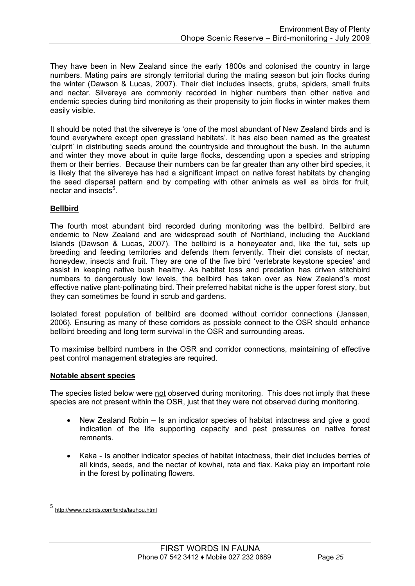They have been in New Zealand since the early 1800s and colonised the country in large numbers. Mating pairs are strongly territorial during the mating season but join flocks during the winter (Dawson & Lucas, 2007). Their diet includes insects, grubs, spiders, small fruits and nectar. Silvereye are commonly recorded in higher numbers than other native and endemic species during bird monitoring as their propensity to join flocks in winter makes them easily visible.

It should be noted that the silvereye is 'one of the most abundant of New Zealand birds and is found everywhere except open grassland habitats'. It has also been named as the greatest 'culprit' in distributing seeds around the countryside and throughout the bush. In the autumn and winter they move about in quite large flocks, descending upon a species and stripping them or their berries. Because their numbers can be far greater than any other bird species, it is likely that the silvereye has had a significant impact on native forest habitats by changing the seed dispersal pattern and by competing with other animals as well as birds for fruit, nectar and insects<sup>5</sup>.

### **Bellbird**

The fourth most abundant bird recorded during monitoring was the bellbird. Bellbird are endemic to New Zealand and are widespread south of Northland, including the Auckland Islands (Dawson & Lucas, 2007). The bellbird is a honeyeater and, like the tui, sets up breeding and feeding territories and defends them fervently. Their diet consists of nectar, honeydew, insects and fruit. They are one of the five bird 'vertebrate keystone species' and assist in keeping native bush healthy. As habitat loss and predation has driven stitchbird numbers to dangerously low levels, the bellbird has taken over as New Zealand's most effective native plant-pollinating bird. Their preferred habitat niche is the upper forest story, but they can sometimes be found in scrub and gardens.

Isolated forest population of bellbird are doomed without corridor connections (Janssen, 2006). Ensuring as many of these corridors as possible connect to the OSR should enhance bellbird breeding and long term survival in the OSR and surrounding areas.

To maximise bellbird numbers in the OSR and corridor connections, maintaining of effective pest control management strategies are required.

#### **Notable absent species**

The species listed below were not observed during monitoring. This does not imply that these species are not present within the OSR, just that they were not observed during monitoring.

- New Zealand Robin Is an indicator species of habitat intactness and give a good indication of the life supporting capacity and pest pressures on native forest remnants.
- Kaka Is another indicator species of habitat intactness, their diet includes berries of all kinds, seeds, and the nectar of kowhai, rata and flax. Kaka play an important role in the forest by pollinating flowers.

<u>.</u>

<sup>5</sup> http://www.nzbirds.com/birds/tauhou.html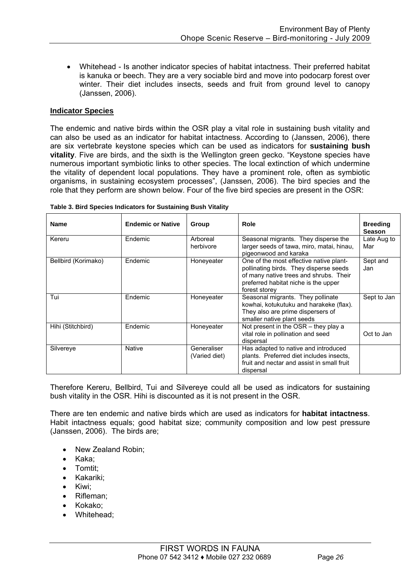• Whitehead - Is another indicator species of habitat intactness. Their preferred habitat is kanuka or beech. They are a very sociable bird and move into podocarp forest over winter. Their diet includes insects, seeds and fruit from ground level to canopy (Janssen, 2006).

#### **Indicator Species**

The endemic and native birds within the OSR play a vital role in sustaining bush vitality and can also be used as an indicator for habitat intactness. According to (Janssen, 2006), there are six vertebrate keystone species which can be used as indicators for **sustaining bush vitality**. Five are birds, and the sixth is the Wellington green gecko. "Keystone species have numerous important symbiotic links to other species. The local extinction of which undermine the vitality of dependent local populations. They have a prominent role, often as symbiotic organisms, in sustaining ecosystem processes", (Janssen, 2006). The bird species and the role that they perform are shown below. Four of the five bird species are present in the OSR:

| <b>Name</b>         | <b>Endemic or Native</b> | Group                        | Role                                                                                                                                                                                 | <b>Breeding</b><br><b>Season</b> |
|---------------------|--------------------------|------------------------------|--------------------------------------------------------------------------------------------------------------------------------------------------------------------------------------|----------------------------------|
| Kereru              | Endemic                  | Arboreal<br>herbivore        | Seasonal migrants. They disperse the<br>larger seeds of tawa, miro, matai, hinau,<br>pigeonwood and karaka                                                                           | Late Aug to<br>Mar               |
| Bellbird (Korimako) | Endemic                  | Honeyeater                   | One of the most effective native plant-<br>pollinating birds. They disperse seeds<br>of many native trees and shrubs. Their<br>preferred habitat niche is the upper<br>forest storey | Sept and<br>Jan                  |
| Tui                 | Endemic                  | Honeyeater                   | Seasonal migrants. They pollinate<br>kowhai, kotukutuku and harakeke (flax).<br>They also are prime dispersers of<br>smaller native plant seeds                                      | Sept to Jan                      |
| Hihi (Stitchbird)   | Endemic                  | Honeyeater                   | Not present in the $OSR$ – they play a<br>vital role in pollination and seed<br>dispersal                                                                                            | Oct to Jan                       |
| Silvereye           | Native                   | Generaliser<br>(Varied diet) | Has adapted to native and introduced<br>plants. Preferred diet includes insects,<br>fruit and nectar and assist in small fruit<br>dispersal                                          |                                  |

|  | Table 3. Bird Species Indicators for Sustaining Bush Vitality |
|--|---------------------------------------------------------------|
|--|---------------------------------------------------------------|

Therefore Kereru, Bellbird, Tui and Silvereye could all be used as indicators for sustaining bush vitality in the OSR. Hihi is discounted as it is not present in the OSR.

There are ten endemic and native birds which are used as indicators for **habitat intactness**. Habit intactness equals; good habitat size; community composition and low pest pressure (Janssen, 2006). The birds are;

- New Zealand Robin;
- Kaka;
- Tomtit:
- Kakariki;
- Kiwi;
- Rifleman;
- Kokako;
- Whitehead;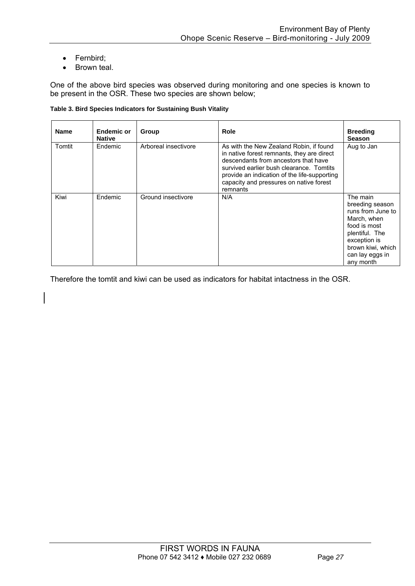- Fernbird;
- Brown teal.

One of the above bird species was observed during monitoring and one species is known to be present in the OSR. These two species are shown below;

#### **Table 3. Bird Species Indicators for Sustaining Bush Vitality**

| <b>Name</b> | Endemic or<br><b>Native</b> | Group                | Role                                                                                                                                                                                                                                                                             | <b>Breeding</b><br><b>Season</b>                                                                                                                                       |
|-------------|-----------------------------|----------------------|----------------------------------------------------------------------------------------------------------------------------------------------------------------------------------------------------------------------------------------------------------------------------------|------------------------------------------------------------------------------------------------------------------------------------------------------------------------|
| Tomtit      | Endemic                     | Arboreal insectivore | As with the New Zealand Robin, if found<br>in native forest remnants, they are direct<br>descendants from ancestors that have<br>survived earlier bush clearance. Tomtits<br>provide an indication of the life-supporting<br>capacity and pressures on native forest<br>remnants | Aug to Jan                                                                                                                                                             |
| Kiwi        | Endemic                     | Ground insectivore   | N/A                                                                                                                                                                                                                                                                              | The main<br>breeding season<br>runs from June to<br>March, when<br>food is most<br>plentiful. The<br>exception is<br>brown kiwi, which<br>can lay eggs in<br>any month |

Therefore the tomtit and kiwi can be used as indicators for habitat intactness in the OSR.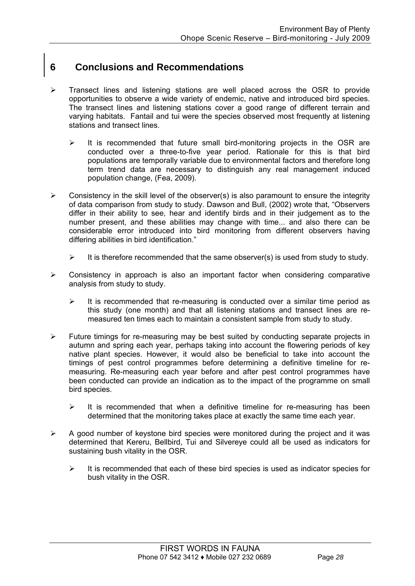### **6 Conclusions and Recommendations**

- ¾ Transect lines and listening stations are well placed across the OSR to provide opportunities to observe a wide variety of endemic, native and introduced bird species. The transect lines and listening stations cover a good range of different terrain and varying habitats. Fantail and tui were the species observed most frequently at listening stations and transect lines.
	- $\triangleright$  It is recommended that future small bird-monitoring projects in the OSR are conducted over a three-to-five year period. Rationale for this is that bird populations are temporally variable due to environmental factors and therefore long term trend data are necessary to distinguish any real management induced population change, (Fea, 2009).
- $\triangleright$  Consistency in the skill level of the observer(s) is also paramount to ensure the integrity of data comparison from study to study. Dawson and Bull, (2002) wrote that, "Observers differ in their ability to see, hear and identify birds and in their judgement as to the number present, and these abilities may change with time... and also there can be considerable error introduced into bird monitoring from different observers having differing abilities in bird identification."
	- $\triangleright$  It is therefore recommended that the same observer(s) is used from study to study.
- $\triangleright$  Consistency in approach is also an important factor when considering comparative analysis from study to study.
	- $\triangleright$  It is recommended that re-measuring is conducted over a similar time period as this study (one month) and that all listening stations and transect lines are remeasured ten times each to maintain a consistent sample from study to study.
- $\triangleright$  Future timings for re-measuring may be best suited by conducting separate projects in autumn and spring each year, perhaps taking into account the flowering periods of key native plant species. However, it would also be beneficial to take into account the timings of pest control programmes before determining a definitive timeline for remeasuring. Re-measuring each year before and after pest control programmes have been conducted can provide an indication as to the impact of the programme on small bird species.
	- $\triangleright$  It is recommended that when a definitive timeline for re-measuring has been determined that the monitoring takes place at exactly the same time each year.
- $\triangleright$  A good number of keystone bird species were monitored during the project and it was determined that Kereru, Bellbird, Tui and Silvereye could all be used as indicators for sustaining bush vitality in the OSR.
	- $\triangleright$  It is recommended that each of these bird species is used as indicator species for bush vitality in the OSR.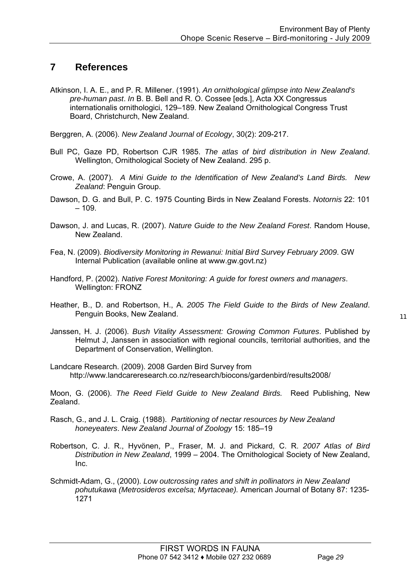### **7 References**

Atkinson, I. A. E., and P. R. Millener. (1991). *An ornithological glimpse into New Zealand's pre-human past*. *In* B. B. Bell and R. O. Cossee [eds.], Acta XX Congressus internationalis ornithologici, 129–189. New Zealand Ornithological Congress Trust Board, Christchurch, New Zealand.

Berggren, A. (2006). *New Zealand Journal of Ecology*, 30(2): 209-217.

- Bull PC, Gaze PD, Robertson CJR 1985. *The atlas of bird distribution in New Zealand*. Wellington, Ornithological Society of New Zealand. 295 p.
- Crowe, A. (2007). *A Mini Guide to the Identification of New Zealand's Land Birds. New Zealand*: Penguin Group.
- Dawson, D. G. and Bull, P. C. 1975 Counting Birds in New Zealand Forests. *Notornis* 22: 101  $-109.$
- Dawson, J. and Lucas, R. (2007). *Nature Guide to the New Zealand Forest*. Random House, New Zealand.
- Fea, N. (2009). *Biodiversity Monitoring in Rewanui: Initial Bird Survey February 2009*. GW Internal Publication (available online at www.gw.govt.nz)
- Handford, P. (2002). *Native Forest Monitoring: A guide for forest owners and managers*. Wellington: FRONZ
- Heather, B., D. and Robertson, H., A. *2005 The Field Guide to the Birds of New Zealand*. Penguin Books, New Zealand.

- Janssen, H. J. (2006). *Bush Vitality Assessment: Growing Common Futures*. Published by Helmut J, Janssen in association with regional councils, territorial authorities, and the Department of Conservation, Wellington.
- Landcare Research. (2009). 2008 Garden Bird Survey from http://www.landcareresearch.co.nz/research/biocons/gardenbird/results2008/

Moon, G. (2006). *The Reed Field Guide to New Zealand Birds.* Reed Publishing, New Zealand.

- Rasch, G., and J. L. Craig. (1988). *Partitioning of nectar resources by New Zealand honeyeaters*. *New Zealand Journal of Zoology* 15: 185–19
- Robertson, C. J. R., Hyvönen, P., Fraser, M. J. and Pickard, C. R. *2007 Atlas of Bird Distribution in New Zealand*, 1999 – 2004. The Ornithological Society of New Zealand, Inc.
- Schmidt-Adam, G., (2000). *Low outcrossing rates and shift in pollinators in New Zealand pohutukawa (Metrosideros excelsa; Myrtaceae).* American Journal of Botany 87: 1235- 1271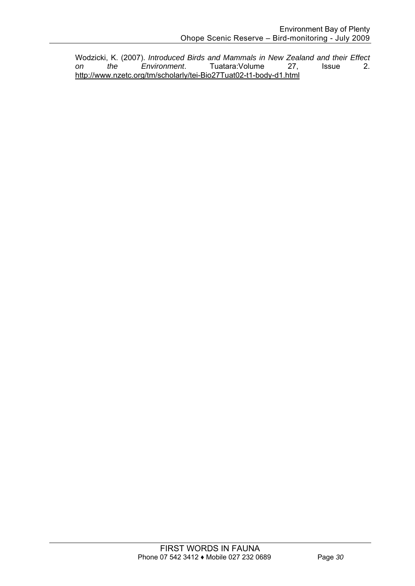Wodzicki, K. (2007). *Introduced Birds and Mammals in New Zealand and their Effect on the Environment*. Tuatara:Volume http://www.nzetc.org/tm/scholarly/tei-Bio27Tuat02-t1-body-d1.html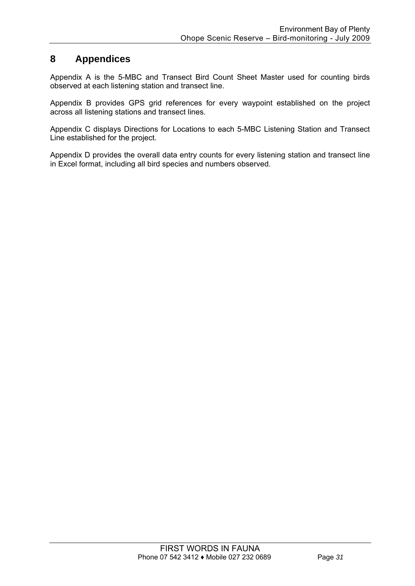### **8 Appendices**

Appendix A is the 5-MBC and Transect Bird Count Sheet Master used for counting birds observed at each listening station and transect line.

Appendix B provides GPS grid references for every waypoint established on the project across all listening stations and transect lines.

Appendix C displays Directions for Locations to each 5-MBC Listening Station and Transect Line established for the project.

Appendix D provides the overall data entry counts for every listening station and transect line in Excel format, including all bird species and numbers observed.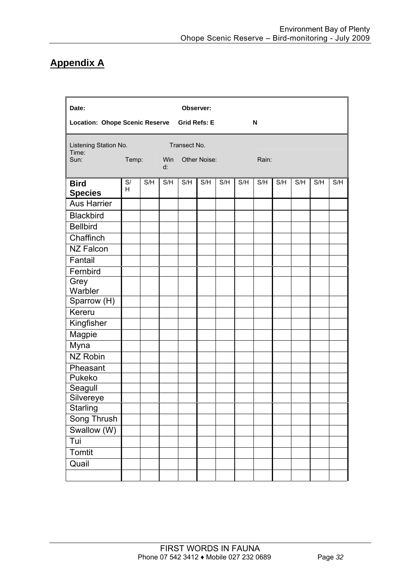## **Appendix A**

| Date:                                 |         |                        |                           | Observer:    |                     |     |     |       |     |     |     |     |  |
|---------------------------------------|---------|------------------------|---------------------------|--------------|---------------------|-----|-----|-------|-----|-----|-----|-----|--|
| <b>Location: Ohope Scenic Reserve</b> |         |                        |                           |              | <b>Grid Refs: E</b> |     |     | N     |     |     |     |     |  |
| Listening Station No.<br>Time:        |         | <b>Service Service</b> |                           | Transect No. |                     |     |     |       |     |     |     |     |  |
| Sun:                                  | Temp:   |                        | <b>Example VVin</b><br>d: | Other Noise: |                     |     |     | Rain: |     |     |     |     |  |
| <b>Bird</b>                           | S/<br>H | S/H                    | S/H                       | S/H          | S/H                 | S/H | S/H | S/H   | S/H | S/H | S/H | S/H |  |
| <b>Species</b>                        |         |                        |                           |              |                     |     |     |       |     |     |     |     |  |
| <b>Aus Harrier</b>                    |         |                        |                           |              |                     |     |     |       |     |     |     |     |  |
| <b>Blackbird</b>                      |         |                        |                           |              |                     |     |     |       |     |     |     |     |  |
| <b>Bellbird</b>                       |         |                        |                           |              |                     |     |     |       |     |     |     |     |  |
| Chaffinch                             |         |                        |                           |              |                     |     |     |       |     |     |     |     |  |
| <b>NZ Falcon</b>                      |         |                        |                           |              |                     |     |     |       |     |     |     |     |  |
| Fantail                               |         |                        |                           |              |                     |     |     |       |     |     |     |     |  |
| Fernbird                              |         |                        |                           |              |                     |     |     |       |     |     |     |     |  |
| Grey                                  |         |                        |                           |              |                     |     |     |       |     |     |     |     |  |
| Warbler                               |         |                        |                           |              |                     |     |     |       |     |     |     |     |  |
| Sparrow (H)                           |         |                        |                           |              |                     |     |     |       |     |     |     |     |  |
| Kereru                                |         |                        |                           |              |                     |     |     |       |     |     |     |     |  |
| Kingfisher                            |         |                        |                           |              |                     |     |     |       |     |     |     |     |  |
| Magpie                                |         |                        |                           |              |                     |     |     |       |     |     |     |     |  |
| Myna                                  |         |                        |                           |              |                     |     |     |       |     |     |     |     |  |
| <b>NZ Robin</b>                       |         |                        |                           |              |                     |     |     |       |     |     |     |     |  |
| Pheasant                              |         |                        |                           |              |                     |     |     |       |     |     |     |     |  |
| Pukeko                                |         |                        |                           |              |                     |     |     |       |     |     |     |     |  |
| Seagull                               |         |                        |                           |              |                     |     |     |       |     |     |     |     |  |
| Silvereye                             |         |                        |                           |              |                     |     |     |       |     |     |     |     |  |
| Starling                              |         |                        |                           |              |                     |     |     |       |     |     |     |     |  |
| Song Thrush                           |         |                        |                           |              |                     |     |     |       |     |     |     |     |  |
| Swallow (W)                           |         |                        |                           |              |                     |     |     |       |     |     |     |     |  |
| Tui                                   |         |                        |                           |              |                     |     |     |       |     |     |     |     |  |
| Tomtit                                |         |                        |                           |              |                     |     |     |       |     |     |     |     |  |
| Quail                                 |         |                        |                           |              |                     |     |     |       |     |     |     |     |  |
|                                       |         |                        |                           |              |                     |     |     |       |     |     |     |     |  |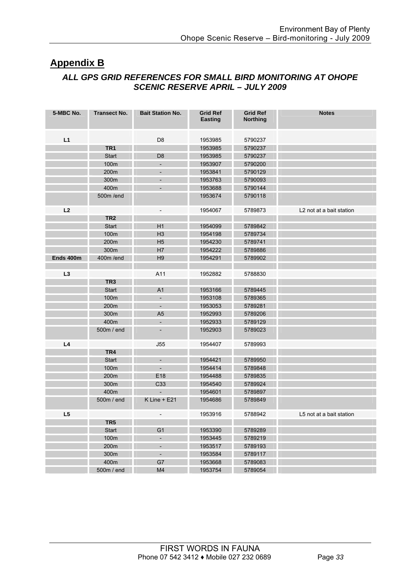### **Appendix B**

### *ALL GPS GRID REFERENCES FOR SMALL BIRD MONITORING AT OHOPE SCENIC RESERVE APRIL – JULY 2009*

| 5-MBC No. | <b>Transect No.</b> | <b>Bait Station No.</b>  | <b>Grid Ref</b><br><b>Easting</b> | <b>Grid Ref</b><br><b>Northing</b> | <b>Notes</b>                         |
|-----------|---------------------|--------------------------|-----------------------------------|------------------------------------|--------------------------------------|
| L1        |                     | D <sub>8</sub>           | 1953985                           | 5790237                            |                                      |
|           | TR <sub>1</sub>     |                          | 1953985                           | 5790237                            |                                      |
|           |                     |                          |                                   |                                    |                                      |
|           | <b>Start</b>        | D <sub>8</sub><br>L,     | 1953985                           | 5790237                            |                                      |
|           | 100m                |                          | 1953907                           | 5790200                            |                                      |
|           | 200m                | $\overline{\phantom{a}}$ | 1953841                           | 5790129                            |                                      |
|           | 300m                | $\overline{\phantom{a}}$ | 1953763                           | 5790093                            |                                      |
|           | 400m                | $\frac{1}{2}$            | 1953688                           | 5790144                            |                                      |
|           | 500m /end           |                          | 1953674                           | 5790118                            |                                      |
| L2        |                     | $\overline{\phantom{a}}$ | 1954067                           | 5789873                            | L <sub>2</sub> not at a bait station |
|           | TR <sub>2</sub>     |                          |                                   |                                    |                                      |
|           | <b>Start</b>        | H1                       | 1954099                           | 5789842                            |                                      |
|           | 100m                | H <sub>3</sub>           | 1954198                           | 5789734                            |                                      |
|           | 200m                | H <sub>5</sub>           | 1954230                           | 5789741                            |                                      |
|           | 300m                | H7                       | 1954222                           | 5789886                            |                                      |
| Ends 400m | 400m/end            | H <sub>9</sub>           | 1954291                           | 5789902                            |                                      |
|           |                     |                          |                                   |                                    |                                      |
| L3        |                     | A11                      | 1952882                           | 5788830                            |                                      |
|           | TR <sub>3</sub>     |                          |                                   |                                    |                                      |
|           | <b>Start</b>        | A <sub>1</sub>           | 1953166                           | 5789445                            |                                      |
|           | 100m                | $\overline{\phantom{a}}$ | 1953108                           | 5789365                            |                                      |
|           | 200m                | $\overline{\phantom{a}}$ | 1953053                           | 5789281                            |                                      |
|           | 300m                | A <sub>5</sub>           | 1952993                           | 5789206                            |                                      |
|           | 400m                | $\blacksquare$           | 1952933                           | 5789129                            |                                      |
|           | 500m / end          | $\overline{\phantom{a}}$ | 1952903                           | 5789023                            |                                      |
| L4        |                     | J55                      | 1954407                           | 5789993                            |                                      |
|           | TR <sub>4</sub>     |                          |                                   |                                    |                                      |
|           | <b>Start</b>        | $\overline{\phantom{a}}$ | 1954421                           | 5789950                            |                                      |
|           | 100m                | $\overline{\phantom{a}}$ | 1954414                           | 5789848                            |                                      |
|           | 200m                | E <sub>18</sub>          | 1954488                           | 5789835                            |                                      |
|           | 300m                | C33                      | 1954540                           | 5789924                            |                                      |
|           | 400m                |                          | 1954601                           | 5789897                            |                                      |
|           | 500m / end          | $K$ Line + E21           | 1954686                           | 5789849                            |                                      |
| L5        |                     |                          | 1953916                           | 5788942                            | L5 not at a bait station             |
|           | TR <sub>5</sub>     | $\qquad \qquad -$        |                                   |                                    |                                      |
|           |                     |                          |                                   |                                    |                                      |
|           | <b>Start</b>        | G <sub>1</sub>           | 1953390                           | 5789289                            |                                      |
|           | 100m                | $\frac{1}{2}$            | 1953445                           | 5789219                            |                                      |
|           | 200m                | ÷                        | 1953517                           | 5789193                            |                                      |
|           | 300m                | $\overline{\phantom{a}}$ | 1953584                           | 5789117                            |                                      |
|           | 400m                | G7                       | 1953668                           | 5789083                            |                                      |
|           | 500m / end          | M4                       | 1953754                           | 5789054                            |                                      |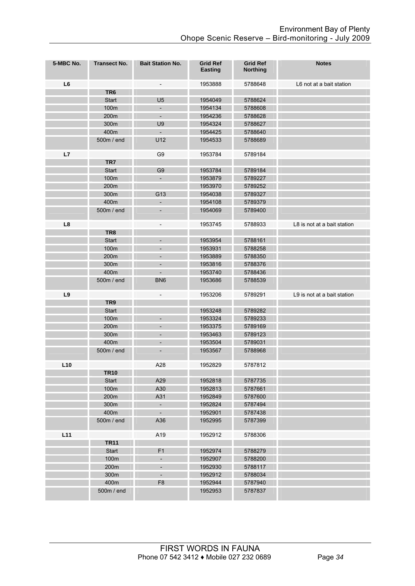| 5-MBC No.      | <b>Transect No.</b> | <b>Bait Station No.</b>      | <b>Grid Ref</b><br><b>Easting</b> | <b>Grid Ref</b><br><b>Northing</b> | <b>Notes</b>                |
|----------------|---------------------|------------------------------|-----------------------------------|------------------------------------|-----------------------------|
| L <sub>6</sub> |                     | $\qquad \qquad -$            | 1953888                           | 5788648                            | L6 not at a bait station    |
|                | TR <sub>6</sub>     |                              |                                   |                                    |                             |
|                | <b>Start</b>        | U <sub>5</sub>               | 1954049                           | 5788624                            |                             |
|                | 100m                | $\overline{\phantom{a}}$     | 1954134                           | 5788608                            |                             |
|                | 200m                | $\overline{\phantom{a}}$     | 1954236                           | 5788628                            |                             |
|                | 300m                | U9                           | 1954324                           | 5788627                            |                             |
|                | 400m                | $\overline{\phantom{a}}$     | 1954425                           | 5788640                            |                             |
|                | 500m / end          | U12                          | 1954533                           | 5788689                            |                             |
| L7             |                     | G <sub>9</sub>               | 1953784                           | 5789184                            |                             |
|                | TR7                 |                              |                                   |                                    |                             |
|                | <b>Start</b>        | G <sub>9</sub>               | 1953784                           | 5789184                            |                             |
|                | 100m                | $\overline{\phantom{a}}$     | 1953879                           | 5789227                            |                             |
|                | 200m                |                              | 1953970                           | 5789252                            |                             |
|                | 300m                | G13                          | 1954038                           | 5789327                            |                             |
|                | 400m                | $\overline{\phantom{a}}$     | 1954108                           | 5789379                            |                             |
|                | 500m / end          | $\overline{\phantom{0}}$     | 1954069                           | 5789400                            |                             |
| L8             | TR8                 | $\qquad \qquad -$            | 1953745                           | 5788933                            | L8 is not at a bait station |
|                | <b>Start</b>        | $\overline{\phantom{0}}$     | 1953954                           | 5788161                            |                             |
|                | 100m                | $\qquad \qquad \blacksquare$ | 1953931                           | 5788258                            |                             |
|                | 200m                | $\qquad \qquad \blacksquare$ | 1953889                           | 5788350                            |                             |
|                | 300m                | ÷,                           | 1953816                           | 5788376                            |                             |
|                | 400m                | $\overline{\phantom{0}}$     | 1953740                           | 5788436                            |                             |
|                | 500m / end          | BN <sub>6</sub>              | 1953686                           | 5788539                            |                             |
| L9             |                     | $\overline{\phantom{m}}$     | 1953206                           | 5789291                            | L9 is not at a bait station |
|                | TR9                 |                              |                                   |                                    |                             |
|                | Start               |                              | 1953248                           | 5789282                            |                             |
|                | 100m                | $\overline{a}$               | 1953324                           | 5789233                            |                             |
|                | 200m                | -                            | 1953375                           | 5789169                            |                             |
|                | 300m                | -                            | 1953463                           | 5789123                            |                             |
|                | 400m                | $\qquad \qquad \blacksquare$ | 1953504                           | 5789031                            |                             |
|                | 500m / end          | $\overline{\phantom{0}}$     | 1953567                           | 5788968                            |                             |
| L10            |                     | A28                          | 1952829                           | 5787812                            |                             |
|                | <b>TR10</b>         |                              |                                   |                                    |                             |
|                | Start               | A29                          | 1952818                           | 5787735                            |                             |
|                | 100m                | A30                          | 1952813                           | 5787661                            |                             |
|                | 200m                | A31                          | 1952849                           | 5787600                            |                             |
|                | 300m                | $\overline{\phantom{a}}$     | 1952824                           | 5787494                            |                             |
|                | 400m                | $\blacksquare$               | 1952901                           | 5787438                            |                             |
|                | 500m / end          | A36                          | 1952995                           | 5787399                            |                             |
| L11            |                     | A19                          | 1952912                           | 5788306                            |                             |
|                | <b>TR11</b>         |                              |                                   |                                    |                             |
|                | Start               | F <sub>1</sub>               | 1952974                           | 5788279                            |                             |
|                | 100m                | $\overline{\phantom{a}}$     | 1952907                           | 5788200                            |                             |
|                | 200m                | ÷                            | 1952930                           | 5788117                            |                             |
|                | 300m                | $\overline{\phantom{a}}$     | 1952912                           | 5788034                            |                             |
|                | 400m                | F <sub>8</sub>               | 1952944                           | 5787940                            |                             |
|                | 500m / end          |                              | 1952953                           | 5787837                            |                             |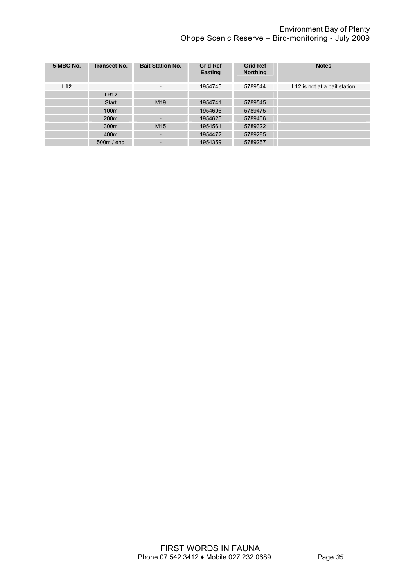| 5-MBC No.       | <b>Transect No.</b> | <b>Bait Station No.</b>      | <b>Grid Ref</b><br><b>Easting</b> | <b>Grid Ref</b><br><b>Northing</b> | <b>Notes</b>                 |
|-----------------|---------------------|------------------------------|-----------------------------------|------------------------------------|------------------------------|
| L <sub>12</sub> |                     | $\overline{\phantom{a}}$     | 1954745                           | 5789544                            | L12 is not at a bait station |
|                 | <b>TR12</b>         |                              |                                   |                                    |                              |
|                 | Start               | M <sub>19</sub>              | 1954741                           | 5789545                            |                              |
|                 | 100m                |                              | 1954696                           | 5789475                            |                              |
|                 | 200 <sub>m</sub>    | -                            | 1954625                           | 5789406                            |                              |
|                 | 300 <sub>m</sub>    | M <sub>15</sub>              | 1954561                           | 5789322                            |                              |
|                 | 400 <sub>m</sub>    |                              | 1954472                           | 5789285                            |                              |
|                 | 500m / end          | $\qquad \qquad \blacksquare$ | 1954359                           | 5789257                            |                              |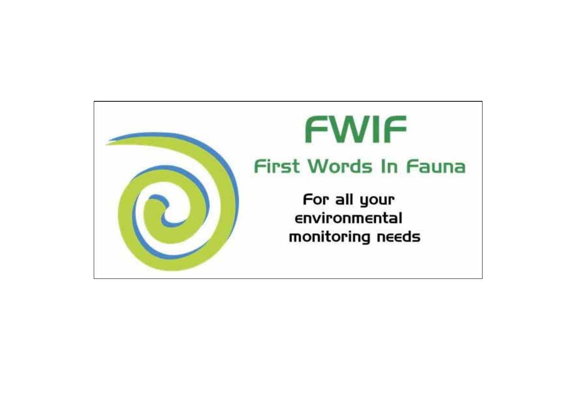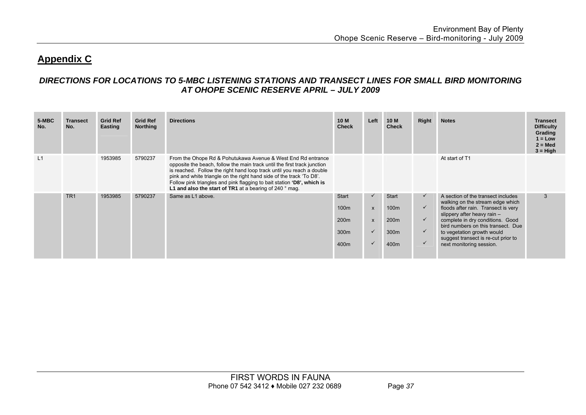### **Appendix C**

### *DIRECTIONS FOR LOCATIONS TO 5-MBC LISTENING STATIONS AND TRANSECT LINES FOR SMALL BIRD MONITORING AT OHOPE SCENIC RESERVE APRIL – JULY 2009*

| 5-MBC<br>No. | Transect<br>No. | <b>Grid Ref</b><br>Easting | <b>Grid Ref</b><br><b>Northing</b> | <b>Directions</b>                                                                                                                                                                                                                                                                                                                                                                                                                       | 10 M<br><b>Check</b>                                                             | Left                                                         | <b>10 M</b><br><b>Check</b>                                                      | Right                                                                        | <b>Notes</b>                                                                                                                                                                                                                                                                                                              | <b>Transect</b><br><b>Difficulty</b><br>Grading<br>$1 = Low$<br>$2 = Med$<br>$3 = High$ |
|--------------|-----------------|----------------------------|------------------------------------|-----------------------------------------------------------------------------------------------------------------------------------------------------------------------------------------------------------------------------------------------------------------------------------------------------------------------------------------------------------------------------------------------------------------------------------------|----------------------------------------------------------------------------------|--------------------------------------------------------------|----------------------------------------------------------------------------------|------------------------------------------------------------------------------|---------------------------------------------------------------------------------------------------------------------------------------------------------------------------------------------------------------------------------------------------------------------------------------------------------------------------|-----------------------------------------------------------------------------------------|
| L1           |                 | 1953985                    | 5790237                            | From the Ohope Rd & Pohutukawa Avenue & West End Rd entrance<br>opposite the beach, follow the main track until the first track junction<br>is reached. Follow the right hand loop track until you reach a double<br>pink and white triangle on the right hand side of the track 'To D8'.<br>Follow pink triangles and pink flagging to bait station 'D8', which is<br>L1 and also the start of TR1 at a bearing of 240 $^{\circ}$ mag. |                                                                                  |                                                              |                                                                                  |                                                                              | At start of T1                                                                                                                                                                                                                                                                                                            |                                                                                         |
|              | TR <sub>1</sub> | 1953985                    | 5790237                            | Same as L1 above.                                                                                                                                                                                                                                                                                                                                                                                                                       | <b>Start</b><br>100 <sub>m</sub><br>200 <sub>m</sub><br>300 <sub>m</sub><br>400m | $\checkmark$<br>$\mathsf{x}$<br>$\mathsf{x}$<br>$\checkmark$ | <b>Start</b><br>100 <sub>m</sub><br>200 <sub>m</sub><br>300 <sub>m</sub><br>400m | $\checkmark$<br>$\checkmark$<br>$\checkmark$<br>$\checkmark$<br>$\checkmark$ | A section of the transect includes<br>walking on the stream edge which<br>floods after rain. Transect is very<br>slippery after heavy rain $-$<br>complete in dry conditions. Good<br>bird numbers on this transect. Due<br>to vegetation growth would<br>suggest transect is re-cut prior to<br>next monitoring session. | 3                                                                                       |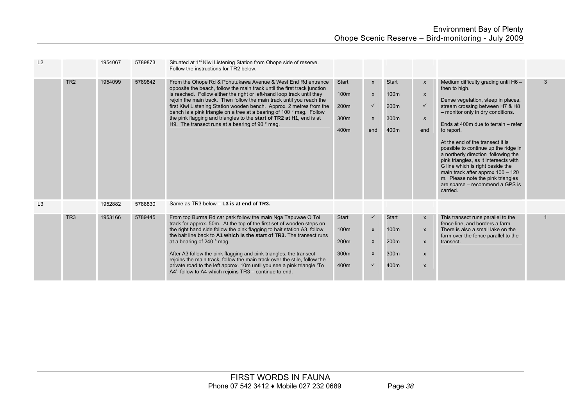| L2 |                 | 1954067 | 5789873 | Situated at 1 <sup>st</sup> Kiwi Listening Station from Ohope side of reserve.<br>Follow the instructions for TR2 below.                                                                                                                                                                                                                                                                                                                                                                                                                                                                                      |                                              |                                                                |                                              |                                                                                                                                 |                                                                                                                                                                                                                                                                                                                                                                                                                                                                                                                                                     |   |
|----|-----------------|---------|---------|---------------------------------------------------------------------------------------------------------------------------------------------------------------------------------------------------------------------------------------------------------------------------------------------------------------------------------------------------------------------------------------------------------------------------------------------------------------------------------------------------------------------------------------------------------------------------------------------------------------|----------------------------------------------|----------------------------------------------------------------|----------------------------------------------|---------------------------------------------------------------------------------------------------------------------------------|-----------------------------------------------------------------------------------------------------------------------------------------------------------------------------------------------------------------------------------------------------------------------------------------------------------------------------------------------------------------------------------------------------------------------------------------------------------------------------------------------------------------------------------------------------|---|
|    | TR <sub>2</sub> | 1954099 | 5789842 | From the Ohope Rd & Pohutukawa Avenue & West End Rd entrance<br>opposite the beach, follow the main track until the first track junction<br>is reached. Follow either the right or left-hand loop track until they<br>rejoin the main track. Then follow the main track until you reach the<br>first Kiwi Listening Station wooden bench. Approx. 2 metres from the<br>bench is a pink triangle on a tree at a bearing of 100 ° mag. Follow<br>the pink flagging and triangles to the start of TR2 at H1, end is at<br>H9. The transect runs at a bearing of 90 ° mag.                                        | Start<br>100m<br>200m<br>300m<br>400m        | $\mathsf{x}$<br>$\pmb{\mathsf{x}}$<br>$\checkmark$<br>X<br>end | <b>Start</b><br>100m<br>200m<br>300m<br>400m | $\mathsf{x}$<br>$\mathsf{x}$<br>$\checkmark$<br>$\mathsf{x}$<br>end                                                             | Medium difficulty grading until $H6 -$<br>then to high.<br>Dense vegetation, steep in places,<br>stream crossing between H7 & H8<br>- monitor only in dry conditions.<br>Ends at 400m due to terrain – refer<br>to report.<br>At the end of the transect it is<br>possible to continue up the ridge in<br>a northerly direction following the<br>pink triangles, as it intersects with<br>G line which is right beside the<br>main track after approx 100 - 120<br>m. Please note the pink triangles<br>are sparse – recommend a GPS is<br>carried. | 3 |
| L3 |                 | 1952882 | 5788830 | Same as TR3 below - L3 is at end of TR3.                                                                                                                                                                                                                                                                                                                                                                                                                                                                                                                                                                      |                                              |                                                                |                                              |                                                                                                                                 |                                                                                                                                                                                                                                                                                                                                                                                                                                                                                                                                                     |   |
|    | TR <sub>3</sub> | 1953166 | 5789445 | From top Burma Rd car park follow the main Nga Tapuwae O Toi<br>track for approx. 50m. At the top of the first set of wooden steps on<br>the right hand side follow the pink flagging to bait station A3, follow<br>the bait line back to A1 which is the start of TR3. The transect runs<br>at a bearing of 240 ° mag.<br>After A3 follow the pink flagging and pink triangles, the transect<br>rejoins the main track, follow the main track over the stile, follow the<br>private road to the left approx. 10m until you see a pink triangle 'To<br>A4', follow to A4 which rejoins TR3 – continue to end. | <b>Start</b><br>100m<br>200m<br>300m<br>400m | $\boldsymbol{\mathsf{x}}$<br>X<br>X<br>$\checkmark$            | <b>Start</b><br>100m<br>200m<br>300m<br>400m | $\boldsymbol{\mathsf{x}}$<br>$\boldsymbol{\mathsf{x}}$<br>$\boldsymbol{\mathsf{x}}$<br>$\pmb{\mathsf{X}}$<br>$\pmb{\mathsf{x}}$ | This transect runs parallel to the<br>fence line, and borders a farm.<br>There is also a small lake on the<br>farm over the fence parallel to the<br>transect.                                                                                                                                                                                                                                                                                                                                                                                      |   |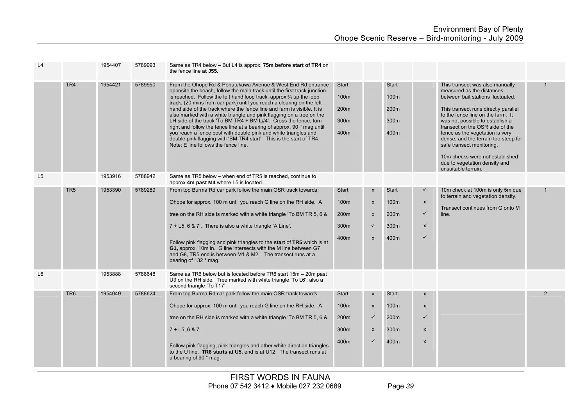| L4             |                 | 1954407 | 5789993 | Same as TR4 below - But L4 is approx. 75m before start of TR4 on<br>the fence line at J55.                                                                                                                                                                                                                                                                                                                                                                                                                                                                                                                                                                                                                                                                                           |                                                               |                                                                                                      |                                                                      |                                                                                    |                                                                                                                                                                                                                                                                                                                                                                                                                                                         |               |
|----------------|-----------------|---------|---------|--------------------------------------------------------------------------------------------------------------------------------------------------------------------------------------------------------------------------------------------------------------------------------------------------------------------------------------------------------------------------------------------------------------------------------------------------------------------------------------------------------------------------------------------------------------------------------------------------------------------------------------------------------------------------------------------------------------------------------------------------------------------------------------|---------------------------------------------------------------|------------------------------------------------------------------------------------------------------|----------------------------------------------------------------------|------------------------------------------------------------------------------------|---------------------------------------------------------------------------------------------------------------------------------------------------------------------------------------------------------------------------------------------------------------------------------------------------------------------------------------------------------------------------------------------------------------------------------------------------------|---------------|
|                | TR <sub>4</sub> | 1954421 | 5789950 | From the Ohope Rd & Pohutukawa Avenue & West End Rd entrance<br>opposite the beach, follow the main track until the first track junction<br>is reached. Follow the left hand loop track, approx $\frac{3}{4}$ up the loop<br>track, (20 mins from car park) until you reach a clearing on the left<br>hand side of the track where the fence line and farm is visible. It is<br>also marked with a white triangle and pink flagging on a tree on the<br>LH side of the track 'To BM TR4 + BM L#4'. Cross the fence, turn<br>right and follow the fence line at a bearing of approx. 90 ° mag until<br>you reach a fence post with double pink and white triangles and<br>double pink flagging with 'BM TR4 start'. This is the start of TR4.<br>Note: E line follows the fence line. | Start<br>100 <sub>m</sub><br>200m<br>300 <sub>m</sub><br>400m |                                                                                                      | <b>Start</b><br>100 <sub>m</sub><br>200 <sub>m</sub><br>300m<br>400m |                                                                                    | This transect was also manually<br>measured as the distances<br>between bait stations fluctuated.<br>This transect runs directly parallel<br>to the fence line on the farm. It<br>was not possible to establish a<br>transect on the OSR side of the<br>fence as the vegetation is very<br>dense, and the terrain too steep for<br>safe transect monitoring.<br>10m checks were not established<br>due to vegetation density and<br>unsuitable terrain. |               |
| L <sub>5</sub> |                 | 1953916 | 5788942 | Same as TR5 below – when end of TR5 is reached, continue to<br>approx 4m past M4 where L5 is located.                                                                                                                                                                                                                                                                                                                                                                                                                                                                                                                                                                                                                                                                                |                                                               |                                                                                                      |                                                                      |                                                                                    |                                                                                                                                                                                                                                                                                                                                                                                                                                                         |               |
|                | TR <sub>5</sub> | 1953390 | 5789289 | From top Burma Rd car park follow the main OSR track towards<br>Ohope for approx. 100 m until you reach G line on the RH side. A<br>tree on the RH side is marked with a white triangle 'To BM TR 5, 6 &<br>7 + L5, 6 & 7'. There is also a white triangle 'A Line'.<br>Follow pink flagging and pink triangles to the start of TR5 which is at<br>G1, approx. 10m in. G line intersects with the M line between G7<br>and G8, TR5 end is between M1 & M2. The transect runs at a<br>bearing of 132 ° mag.                                                                                                                                                                                                                                                                           | <b>Start</b><br>100m<br>200m<br>300m<br>400m                  | $\pmb{\mathsf{x}}$<br>$\pmb{\mathsf{x}}$<br>$\pmb{\mathsf{x}}$<br>$\checkmark$<br>$\pmb{\mathsf{x}}$ | <b>Start</b><br>100m<br>200m<br>300m<br>400m                         | $\checkmark$<br>$\mathsf{x}$<br>$\checkmark$<br>$\pmb{\mathsf{X}}$<br>$\checkmark$ | 10m check at 100m is only 5m due<br>to terrain and vegetation density.<br>Transect continues from G onto M<br>line.                                                                                                                                                                                                                                                                                                                                     | $\mathbf{1}$  |
| L <sub>6</sub> |                 | 1953888 | 5788648 | Same as TR6 below but is located before TR6 start 15m - 20m past<br>U3 on the RH side. Tree marked with white triangle 'To L6', also a<br>second triangle 'To T17'.                                                                                                                                                                                                                                                                                                                                                                                                                                                                                                                                                                                                                  |                                                               |                                                                                                      |                                                                      |                                                                                    |                                                                                                                                                                                                                                                                                                                                                                                                                                                         |               |
|                | TR <sub>6</sub> | 1954049 | 5788624 | From top Burma Rd car park follow the main OSR track towards                                                                                                                                                                                                                                                                                                                                                                                                                                                                                                                                                                                                                                                                                                                         | Start                                                         | X                                                                                                    | <b>Start</b>                                                         | $\mathsf{x}$                                                                       |                                                                                                                                                                                                                                                                                                                                                                                                                                                         | $\mathcal{P}$ |
|                |                 |         |         | Ohope for approx. 100 m until you reach G line on the RH side. A                                                                                                                                                                                                                                                                                                                                                                                                                                                                                                                                                                                                                                                                                                                     | 100m                                                          | $\boldsymbol{x}$                                                                                     | 100m                                                                 | $\mathsf{x}$                                                                       |                                                                                                                                                                                                                                                                                                                                                                                                                                                         |               |
|                |                 |         |         | tree on the RH side is marked with a white triangle 'To BM TR 5, 6 &                                                                                                                                                                                                                                                                                                                                                                                                                                                                                                                                                                                                                                                                                                                 | 200m                                                          | $\checkmark$                                                                                         | 200 <sub>m</sub>                                                     | $\checkmark$                                                                       |                                                                                                                                                                                                                                                                                                                                                                                                                                                         |               |
|                |                 |         |         | $7 + L5$ , 6 & 7'.                                                                                                                                                                                                                                                                                                                                                                                                                                                                                                                                                                                                                                                                                                                                                                   | 300m                                                          | X                                                                                                    | 300 <sub>m</sub>                                                     | $\mathsf{x}$                                                                       |                                                                                                                                                                                                                                                                                                                                                                                                                                                         |               |
|                |                 |         |         | Follow pink flagging, pink triangles and other white direction triangles<br>to the U line. TR6 starts at U5, end is at U12. The transect runs at<br>a bearing of 90 ° mag.                                                                                                                                                                                                                                                                                                                                                                                                                                                                                                                                                                                                           | 400m                                                          | ✓                                                                                                    | 400m                                                                 | $\mathsf{x}$                                                                       |                                                                                                                                                                                                                                                                                                                                                                                                                                                         |               |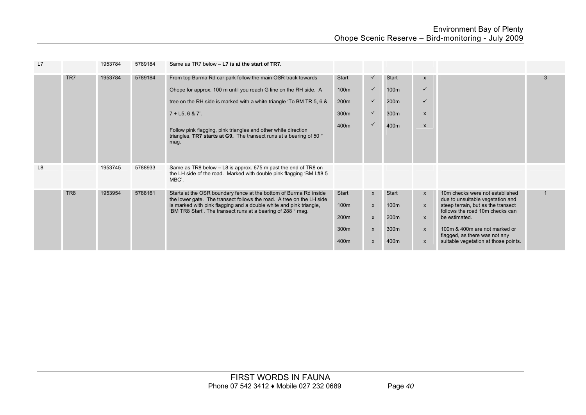| L7             |                 | 1953784 | 5789184 | Same as TR7 below - L7 is at the start of TR7.                                                                                                                                                                  |                      |                              |                      |                              |                                                                                                           |             |
|----------------|-----------------|---------|---------|-----------------------------------------------------------------------------------------------------------------------------------------------------------------------------------------------------------------|----------------------|------------------------------|----------------------|------------------------------|-----------------------------------------------------------------------------------------------------------|-------------|
|                | TR7             | 1953784 | 5789184 | From top Burma Rd car park follow the main OSR track towards                                                                                                                                                    | Start                | $\checkmark$                 | <b>Start</b>         | $\mathsf{x}$                 |                                                                                                           | 3           |
|                |                 |         |         | Ohope for approx. 100 m until you reach G line on the RH side. A                                                                                                                                                | 100 <sub>m</sub>     | $\checkmark$                 | 100 <sub>m</sub>     | ✓                            |                                                                                                           |             |
|                |                 |         |         | tree on the RH side is marked with a white triangle 'To BM TR 5, 6 &                                                                                                                                            | 200 <sub>m</sub>     | $\checkmark$                 | 200 <sub>m</sub>     | ✓                            |                                                                                                           |             |
|                |                 |         |         | $7 + L5, 6 & 7'.$                                                                                                                                                                                               | 300m                 | $\checkmark$                 | 300m                 | $\mathsf{x}$                 |                                                                                                           |             |
|                |                 |         |         | Follow pink flagging, pink triangles and other white direction<br>triangles, TR7 starts at G9. The transect runs at a bearing of 50 °<br>mag.                                                                   | 400m                 | $\checkmark$                 | 400m                 | $\pmb{\mathsf{X}}$           |                                                                                                           |             |
| L <sub>8</sub> |                 | 1953745 | 5788933 | Same as TR8 below – L8 is approx. 675 m past the end of TR8 on<br>the LH side of the road. Marked with double pink flagging 'BM L#8 5<br>MBC'.                                                                  |                      |                              |                      |                              |                                                                                                           |             |
|                | TR <sub>8</sub> | 1953954 | 5788161 | Starts at the OSR boundary fence at the bottom of Burma Rd inside<br>the lower gate. The transect follows the road. A tree on the LH side<br>is marked with pink flagging and a double white and pink triangle, | <b>Start</b><br>100m | $\mathsf{x}$<br>$\mathsf{x}$ | <b>Start</b><br>100m | $\mathsf{x}$<br>$\mathsf{x}$ | 10m checks were not established<br>due to unsuitable vegetation and<br>steep terrain, but as the transect | $\mathbf 1$ |
|                |                 |         |         | 'BM TR8 Start'. The transect runs at a bearing of 288 ° mag.                                                                                                                                                    | 200 <sub>m</sub>     | $\mathsf{x}$                 | 200 <sub>m</sub>     | $\mathsf{x}$                 | follows the road 10m checks can<br>be estimated.                                                          |             |
|                |                 |         |         |                                                                                                                                                                                                                 | 300m                 | $\mathsf{x}$                 | 300m                 | $\boldsymbol{\mathsf{x}}$    | 100m & 400m are not marked or<br>flagged, as there was not any                                            |             |
|                |                 |         |         |                                                                                                                                                                                                                 | 400m                 | $\pmb{\mathsf{X}}$           | 400m                 | $\mathsf{x}$                 | suitable vegetation at those points.                                                                      |             |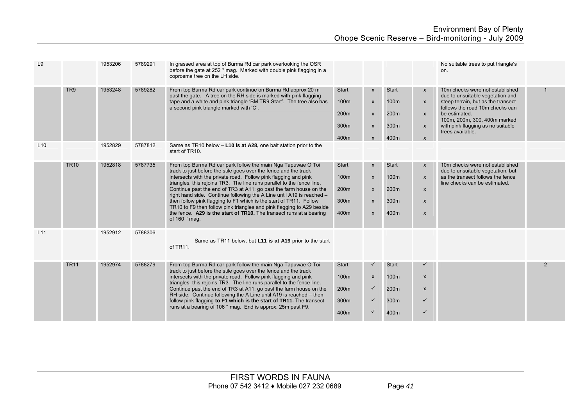| L <sub>9</sub> |                 | 1953206 | 5789291 | In grassed area at top of Burma Rd car park overlooking the OSR<br>before the gate at 252 ° mag. Marked with double pink flagging in a<br>coprosma tree on the LH side.                                                                                                                                                                                                                                                                                                                                                                                                                                                                                                      |                                                   |                                                                                                        |                                                                      |                                                                                                        | No suitable trees to put triangle's<br>on.                                                                                                                                                                                                             |                |
|----------------|-----------------|---------|---------|------------------------------------------------------------------------------------------------------------------------------------------------------------------------------------------------------------------------------------------------------------------------------------------------------------------------------------------------------------------------------------------------------------------------------------------------------------------------------------------------------------------------------------------------------------------------------------------------------------------------------------------------------------------------------|---------------------------------------------------|--------------------------------------------------------------------------------------------------------|----------------------------------------------------------------------|--------------------------------------------------------------------------------------------------------|--------------------------------------------------------------------------------------------------------------------------------------------------------------------------------------------------------------------------------------------------------|----------------|
|                | TR <sub>9</sub> | 1953248 | 5789282 | From top Burma Rd car park continue on Burma Rd approx 20 m<br>past the gate. A tree on the RH side is marked with pink flagging<br>tape and a white and pink triangle 'BM TR9 Start'. The tree also has<br>a second pink triangle marked with 'C'.                                                                                                                                                                                                                                                                                                                                                                                                                          | Start<br>100m<br>200 <sub>m</sub><br>300m<br>400m | $\mathsf{x}$<br>$\boldsymbol{\mathsf{x}}$<br>$\boldsymbol{\mathsf{x}}$<br>$\mathsf{x}$<br>$\mathsf{x}$ | Start<br>100m<br>200 <sub>m</sub><br>300m<br>400m                    | $\mathsf{x}$<br>$\mathsf{x}$<br>$\mathsf{x}$<br>$\mathsf{x}$<br>$\boldsymbol{\mathsf{x}}$              | 10m checks were not established<br>due to unsuitable vegetation and<br>steep terrain, but as the transect<br>follows the road 10m checks can<br>be estimated.<br>100m, 200m, 300, 400m marked<br>with pink flagging as no suitable<br>trees available. | 1              |
| L10            |                 | 1952829 | 5787812 | Same as TR10 below - L10 is at A28, one bait station prior to the<br>start of TR10.                                                                                                                                                                                                                                                                                                                                                                                                                                                                                                                                                                                          |                                                   |                                                                                                        |                                                                      |                                                                                                        |                                                                                                                                                                                                                                                        |                |
|                | <b>TR10</b>     | 1952818 | 5787735 | From top Burma Rd car park follow the main Nga Tapuwae O Toi<br>track to just before the stile goes over the fence and the track<br>intersects with the private road. Follow pink flagging and pink<br>triangles, this rejoins TR3. The line runs parallel to the fence line.<br>Continue past the end of TR3 at A11; go past the farm house on the<br>right hand side. Continue following the A Line until A19 is reached -<br>then follow pink flagging to F1 which is the start of TR11. Follow<br>TR10 to F9 then follow pink triangles and pink flagging to A29 beside<br>the fence. A29 is the start of TR10. The transect runs at a bearing<br>of 160 $^{\circ}$ mag. | <b>Start</b><br>100m<br>200m<br>300m<br>400m      | $\mathsf{x}$<br>$\mathsf{x}$<br>$\mathsf{x}$<br>$\boldsymbol{\mathsf{x}}$<br>$\mathsf{x}$              | <b>Start</b><br>100 <sub>m</sub><br>200 <sub>m</sub><br>300m<br>400m | $\mathsf{x}$<br>$\mathsf{x}$<br>$\mathsf{x}$<br>$\boldsymbol{\mathsf{x}}$<br>$\boldsymbol{\mathsf{x}}$ | 10m checks were not established<br>due to unsuitable vegetation, but<br>as the transect follows the fence<br>line checks can be estimated.                                                                                                             |                |
| L11            |                 | 1952912 | 5788306 | Same as TR11 below, but L11 is at A19 prior to the start<br>of TR11.                                                                                                                                                                                                                                                                                                                                                                                                                                                                                                                                                                                                         |                                                   |                                                                                                        |                                                                      |                                                                                                        |                                                                                                                                                                                                                                                        |                |
|                | <b>TR11</b>     | 1952974 | 5788279 | From top Burma Rd car park follow the main Nga Tapuwae O Toi<br>track to just before the stile goes over the fence and the track<br>intersects with the private road. Follow pink flagging and pink<br>triangles, this rejoins TR3. The line runs parallel to the fence line.<br>Continue past the end of TR3 at A11; go past the farm house on the<br>RH side. Continue following the A Line until A19 is reached - then<br>follow pink flagging to F1 which is the start of TR11. The transect<br>runs at a bearing of 106 ° mag. End is approx. 25m past F9.                                                                                                              | <b>Start</b><br>100m<br>200m<br>300m<br>400m      | ✓<br>$\boldsymbol{\mathsf{x}}$<br>$\checkmark$<br>$\checkmark$<br>$\checkmark$                         | <b>Start</b><br>100m<br>200 <sub>m</sub><br>300m<br>400m             | $\boldsymbol{\mathsf{x}}$<br>$\boldsymbol{\mathsf{x}}$<br>$\checkmark$<br>$\checkmark$                 |                                                                                                                                                                                                                                                        | $\overline{2}$ |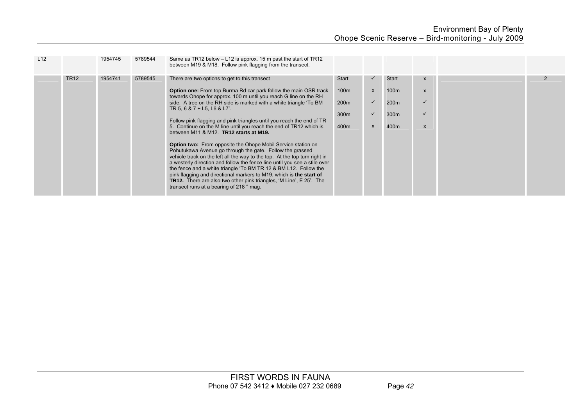| L12 |             | 1954745 | 5789544 | Same as TR12 below – L12 is approx. 15 m past the start of TR12<br>between M19 & M18. Follow pink flagging from the transect.                                                                                                                                                                                                                                                                                                                                                                                                                                    |                  |              |                  |                           |  |
|-----|-------------|---------|---------|------------------------------------------------------------------------------------------------------------------------------------------------------------------------------------------------------------------------------------------------------------------------------------------------------------------------------------------------------------------------------------------------------------------------------------------------------------------------------------------------------------------------------------------------------------------|------------------|--------------|------------------|---------------------------|--|
|     | <b>TR12</b> | 1954741 | 5789545 | There are two options to get to this transect                                                                                                                                                                                                                                                                                                                                                                                                                                                                                                                    | <b>Start</b>     | $\checkmark$ | <b>Start</b>     | $\boldsymbol{\mathsf{x}}$ |  |
|     |             |         |         | <b>Option one:</b> From top Burma Rd car park follow the main OSR track<br>towards Ohope for approx. 100 m until you reach G line on the RH                                                                                                                                                                                                                                                                                                                                                                                                                      | 100 <sub>m</sub> | $\mathsf{x}$ | 100 <sub>m</sub> | $\boldsymbol{\mathsf{x}}$ |  |
|     |             |         |         | side. A tree on the RH side is marked with a white triangle 'To BM<br>TR 5, 6 & 7 + L5, L6 & L7'.                                                                                                                                                                                                                                                                                                                                                                                                                                                                | 200 <sub>m</sub> | $\checkmark$ | 200 <sub>m</sub> | $\checkmark$              |  |
|     |             |         |         |                                                                                                                                                                                                                                                                                                                                                                                                                                                                                                                                                                  | 300 <sub>m</sub> | $\checkmark$ | 300 <sub>m</sub> | $\checkmark$              |  |
|     |             |         |         | Follow pink flagging and pink triangles until you reach the end of TR<br>5. Continue on the M line until you reach the end of TR12 which is<br>between M11 & M12. TR12 starts at M19.                                                                                                                                                                                                                                                                                                                                                                            | 400m             | X            | 400m             | $\boldsymbol{\mathsf{x}}$ |  |
|     |             |         |         | <b>Option two:</b> From opposite the Ohope Mobil Service station on<br>Pohutukawa Avenue go through the gate. Follow the grassed<br>vehicle track on the left all the way to the top. At the top turn right in<br>a westerly direction and follow the fence line until you see a stile over<br>the fence and a white triangle 'To BM TR 12 & BM L12. Follow the<br>pink flagging and directional markers to M19, which is the start of<br><b>TR12.</b> There are also two other pink triangles, 'M Line', E 25'. The<br>transect runs at a bearing of 218 ° mag. |                  |              |                  |                           |  |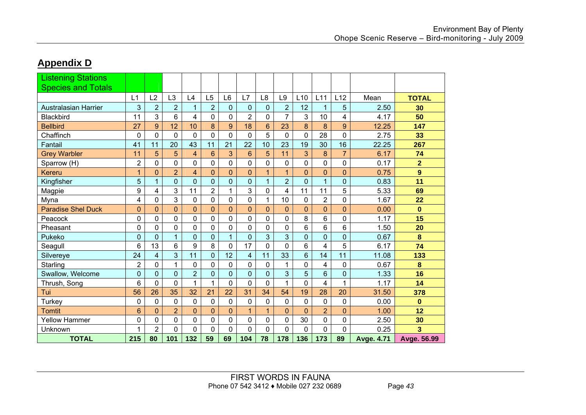### **Appendix D**

| <b>Listening Stations</b><br><b>Species and Totals</b> |                 |                |                |                |                 |                |                |                |                |                 |                |                |                   |                  |
|--------------------------------------------------------|-----------------|----------------|----------------|----------------|-----------------|----------------|----------------|----------------|----------------|-----------------|----------------|----------------|-------------------|------------------|
|                                                        | L1              | L2             | L <sub>3</sub> | L4             | L <sub>5</sub>  | L <sub>6</sub> | L7             | L <sub>8</sub> | L9             | L <sub>10</sub> | L11            | L12            | Mean              | <b>TOTAL</b>     |
| <b>Australasian Harrier</b>                            | 3               | $\overline{2}$ | $\overline{2}$ | $\mathbf{1}$   | $\overline{2}$  | 0              | 0              | $\mathbf 0$    | $\overline{2}$ | 12              | 1              | 5              | 2.50              | 30               |
| <b>Blackbird</b>                                       | 11              | 3              | 6              | 4              | 0               | 0              | $\overline{2}$ | 0              | $\overline{7}$ | 3               | 10             | 4              | 4.17              | 50               |
| <b>Bellbird</b>                                        | 27              | 9              | 12             | 10             | 8               | 9              | 18             | 6              | 23             | 8               | 8              | 9              | 12.25             | 147              |
| Chaffinch                                              | $\overline{0}$  | $\overline{0}$ | $\mathbf 0$    | 0              | $\overline{0}$  | 0              | $\overline{0}$ | 5              | $\overline{0}$ | $\overline{0}$  | 28             | $\mathbf 0$    | 2.75              | 33               |
| Fantail                                                | 41              | 11             | 20             | 43             | 11              | 21             | 22             | 10             | 23             | 19              | 30             | 16             | 22.25             | 267              |
| <b>Grey Warbler</b>                                    | 11              | 5              | 5              | 4              | $6\phantom{1}6$ | 3              | 6              | 5              | 11             | 3               | 8              | $\overline{7}$ | 6.17              | 74               |
| Sparrow (H)                                            | $\overline{2}$  | 0              | $\mathbf 0$    | 0              | 0               | 0              | 0              | 0              | 0              | 0               | 0              | $\mathbf 0$    | 0.17              | $\overline{2}$   |
| <b>Kereru</b>                                          | 1               | $\overline{0}$ | $\overline{2}$ | 4              | $\overline{0}$  | $\overline{0}$ | $\overline{0}$ | $\mathbf{1}$   | $\mathbf{1}$   | $\mathbf 0$     | $\overline{0}$ | $\mathbf{0}$   | 0.75              | $\boldsymbol{9}$ |
| Kingfisher                                             | 5               | 1              | $\mathbf 0$    | 0              | $\mathbf 0$     | 0              | $\overline{0}$ | $\mathbf{1}$   | $\overline{2}$ | $\mathbf 0$     | 1              | $\mathbf 0$    | 0.83              | 11               |
| Magpie                                                 | 9               | 4              | 3              | 11             | $\overline{2}$  | 1              | 3              | 0              | 4              | 11              | 11             | 5              | 5.33              | 69               |
| Myna                                                   | 4               | 0              | 3              | 0              | 0               | 0              | 0              | 1              | 10             | 0               | $\overline{2}$ | $\mathbf 0$    | 1.67              | 22               |
| <b>Paradise Shel Duck</b>                              | $\overline{0}$  | $\overline{0}$ | $\overline{0}$ | $\overline{0}$ | $\overline{0}$  | $\overline{0}$ | 0              | $\overline{0}$ | $\overline{0}$ | $\overline{0}$  | $\overline{0}$ | $\mathbf{0}$   | 0.00              | $\mathbf{0}$     |
| Peacock                                                | $\overline{0}$  | $\overline{0}$ | $\mathbf 0$    | 0              | $\mathbf 0$     | $\mathbf 0$    | 0              | 0              | 0              | 8               | 6              | $\overline{0}$ | 1.17              | 15               |
| Pheasant                                               | $\overline{0}$  | 0              | $\mathbf 0$    | 0              | 0               | 0              | 0              | 0              | 0              | 6               | 6              | 6              | 1.50              | 20               |
| Pukeko                                                 | $\mathbf 0$     | $\overline{0}$ | $\overline{1}$ | $\overline{0}$ | $\mathbf 0$     | $\mathbf{1}$   | $\overline{0}$ | 3              | 3              | $\mathbf 0$     | $\overline{0}$ | $\overline{0}$ | 0.67              | 8                |
| Seagull                                                | 6               | 13             | 6              | 9              | 8               | 0              | 17             | 0              | 0              | 6               | 4              | 5              | 6.17              | 74               |
| Silvereye                                              | 24              | $\overline{4}$ | 3              | 11             | $\overline{0}$  | 12             | 4              | 11             | 33             | $6\phantom{1}$  | 14             | 11             | 11.08             | 133              |
| Starling                                               | $\overline{2}$  | $\overline{0}$ | 1              | 0              | 0               | 0              | 0              | 0              | 1              | 0               | 4              | 0              | 0.67              | 8                |
| Swallow, Welcome                                       | $\mathbf 0$     | $\overline{0}$ | $\overline{0}$ | $\overline{2}$ | $\mathbf 0$     | $\overline{0}$ | $\overline{0}$ | $\mathbf 0$    | 3              | 5               | 6              | $\mathbf 0$    | 1.33              | 16               |
| Thrush, Song                                           | 6               | 0              | 0              | 1              | 1               | 0              | 0              | 0              | 1              | 0               | 4              | 1              | 1.17              | 14               |
| Tui                                                    | 56              | 26             | 35             | 32             | 21              | 22             | 31             | 34             | 54             | 19              | 28             | 20             | 31.50             | 378              |
| Turkey                                                 | $\mathbf 0$     | 0              | 0              | 0              | 0               | 0              | 0              | 0              | 0              | 0               | 0              | $\mathbf 0$    | 0.00              | $\mathbf{0}$     |
| <b>Tomtit</b>                                          | $6\phantom{1}6$ | $\overline{0}$ | $\overline{2}$ | $\overline{0}$ | $\overline{0}$  | $\overline{0}$ | 1              | $\mathbf{1}$   | $\overline{0}$ | $\overline{0}$  | $\overline{2}$ | $\overline{0}$ | 1.00              | 12               |
| <b>Yellow Hammer</b>                                   | $\mathbf 0$     | $\mathbf 0$    | $\mathbf 0$    | 0              | 0               | 0              | 0              | 0              | 0              | 30              | 0              | $\mathbf 0$    | 2.50              | 30               |
| Unknown                                                | 1               | $\overline{2}$ | $\mathbf 0$    | 0              | $\mathbf 0$     | $\mathbf 0$    | 0              | 0              | 0              | $\mathbf{0}$    | $\Omega$       | $\mathbf 0$    | 0.25              | 3                |
| <b>TOTAL</b>                                           | 215             | 80             | 101            | 132            | 59              | 69             | 104            | 78             | 178            | 136             | 173            | 89             | <b>Avge. 4.71</b> | Avge. 56.99      |